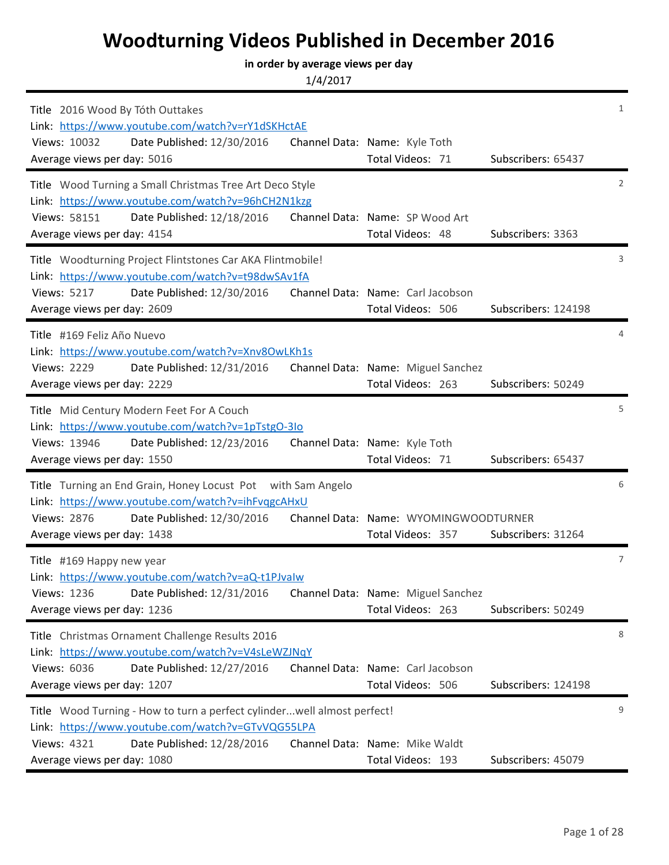## **Woodturning Videos Published in December 2016**

## **in order by average views per day**

1/4/2017

| Title 2016 Wood By Tóth Outtakes<br>Link: https://www.youtube.com/watch?v=rY1dSKHctAE<br>Date Published: 12/30/2016<br>Views: 10032<br>Average views per day: 5016                                       | Channel Data: Name: Kyle Toth<br>Total Videos: 71          | Subscribers: 65437  | $\mathbf{1}$   |
|----------------------------------------------------------------------------------------------------------------------------------------------------------------------------------------------------------|------------------------------------------------------------|---------------------|----------------|
| Title Wood Turning a Small Christmas Tree Art Deco Style<br>Link: https://www.youtube.com/watch?v=96hCH2N1kzg<br>Views: 58151<br>Date Published: 12/18/2016<br>Average views per day: 4154               | Channel Data: Name: SP Wood Art<br>Total Videos: 48        | Subscribers: 3363   | 2              |
| Title Woodturning Project Flintstones Car AKA Flintmobile!<br>Link: https://www.youtube.com/watch?v=t98dwSAv1fA<br><b>Views: 5217</b><br>Date Published: 12/30/2016<br>Average views per day: 2609       | Channel Data: Name: Carl Jacobson<br>Total Videos: 506     | Subscribers: 124198 | 3              |
| Title #169 Feliz Año Nuevo<br>Link: https://www.youtube.com/watch?v=Xnv8OwLKh1s<br><b>Views: 2229</b><br>Date Published: 12/31/2016<br>Average views per day: 2229                                       | Channel Data: Name: Miguel Sanchez<br>Total Videos: 263    | Subscribers: 50249  | 4              |
| Title Mid Century Modern Feet For A Couch<br>Link: https://www.youtube.com/watch?v=1pTstgO-3lo<br>Views: 13946<br>Date Published: 12/23/2016<br>Average views per day: 1550                              | Channel Data: Name: Kyle Toth<br>Total Videos: 71          | Subscribers: 65437  | 5              |
| Title Turning an End Grain, Honey Locust Pot with Sam Angelo<br>Link: https://www.youtube.com/watch?v=ihFvqgcAHxU<br>Views: 2876<br>Date Published: 12/30/2016<br>Average views per day: 1438            | Channel Data: Name: WYOMINGWOODTURNER<br>Total Videos: 357 | Subscribers: 31264  | 6              |
| Title #169 Happy new year<br>Link: https://www.youtube.com/watch?v=aQ-t1PJvalw<br>Date Published: 12/31/2016<br>Views: 1236<br>Average views per day: 1236                                               | Channel Data: Name: Miguel Sanchez<br>Total Videos: 263    | Subscribers: 50249  | $\overline{7}$ |
| Title Christmas Ornament Challenge Results 2016<br>Link: https://www.youtube.com/watch?v=V4sLeWZJNqY<br>Views: 6036<br>Date Published: 12/27/2016<br>Average views per day: 1207                         | Channel Data: Name: Carl Jacobson<br>Total Videos: 506     | Subscribers: 124198 | 8              |
| Title Wood Turning - How to turn a perfect cylinderwell almost perfect!<br>Link: https://www.youtube.com/watch?v=GTvVQG55LPA<br>Views: 4321<br>Date Published: 12/28/2016<br>Average views per day: 1080 | Channel Data: Name: Mike Waldt<br>Total Videos: 193        | Subscribers: 45079  | 9              |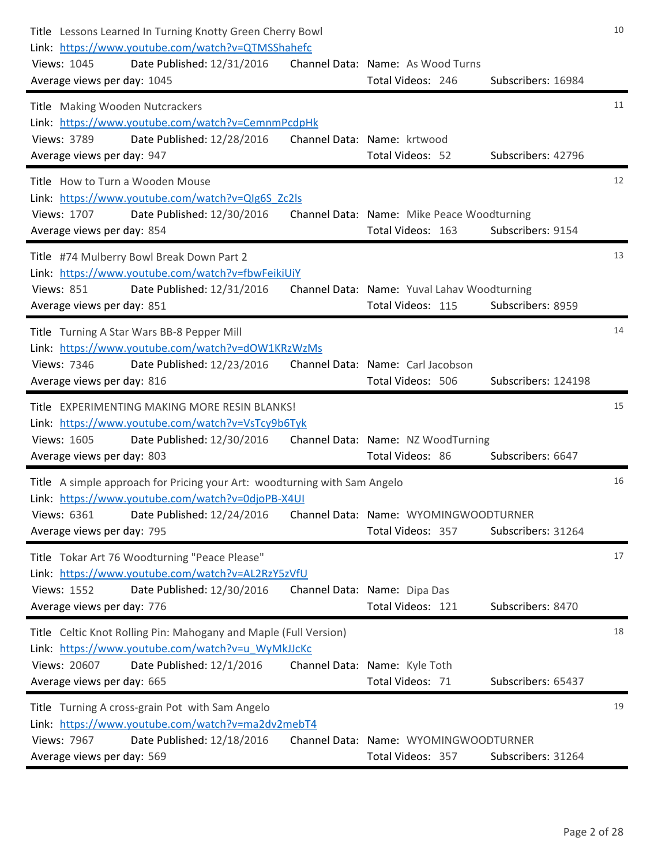| Title Lessons Learned In Turning Knotty Green Cherry Bowl<br>Link: https://www.youtube.com/watch?v=QTMSShahefc<br>Views: 1045<br>Date Published: 12/31/2016<br>Average views per day: 1045                                                   | Channel Data: Name: As Wood Turns<br>Total Videos: 246<br>Subscribers: 16984          | 10 |
|----------------------------------------------------------------------------------------------------------------------------------------------------------------------------------------------------------------------------------------------|---------------------------------------------------------------------------------------|----|
| Title Making Wooden Nutcrackers<br>Link: https://www.youtube.com/watch?v=CemnmPcdpHk<br>Date Published: 12/28/2016<br>Views: 3789<br>Average views per day: 947                                                                              | Channel Data: Name: krtwood<br>Total Videos: 52<br>Subscribers: 42796                 | 11 |
| Title How to Turn a Wooden Mouse<br>Link: https://www.youtube.com/watch?v=QIg6S Zc2Is<br>Views: 1707<br>Date Published: 12/30/2016<br>Average views per day: 854                                                                             | Channel Data: Name: Mike Peace Woodturning<br>Total Videos: 163<br>Subscribers: 9154  | 12 |
| Title #74 Mulberry Bowl Break Down Part 2<br>Link: https://www.youtube.com/watch?v=fbwFeikiUiY<br><b>Views: 851</b><br>Date Published: 12/31/2016<br>Average views per day: 851                                                              | Channel Data: Name: Yuval Lahav Woodturning<br>Subscribers: 8959<br>Total Videos: 115 | 13 |
| Title Turning A Star Wars BB-8 Pepper Mill<br>Link: https://www.youtube.com/watch?v=dOW1KRzWzMs<br>Views: 7346<br>Date Published: 12/23/2016<br>Average views per day: 816                                                                   | Channel Data: Name: Carl Jacobson<br>Total Videos: 506<br>Subscribers: 124198         | 14 |
| Title EXPERIMENTING MAKING MORE RESIN BLANKS!<br>Link: https://www.youtube.com/watch?v=VsTcy9b6Tyk<br>Views: 1605<br>Date Published: 12/30/2016<br>Average views per day: 803                                                                | Channel Data: Name: NZ WoodTurning<br>Total Videos: 86<br>Subscribers: 6647           | 15 |
| Title A simple approach for Pricing your Art: woodturning with Sam Angelo<br>Link: https://www.youtube.com/watch?v=0djoPB-X4UI<br>Views: 6361 Date Published: 12/24/2016 Channel Data: Name: WYOMINGWOODTURNER<br>Average views per day: 795 | Total Videos: 357<br>Subscribers: 31264                                               | 16 |
| Title Tokar Art 76 Woodturning "Peace Please"<br>Link: https://www.youtube.com/watch?v=AL2RzY5zVfU<br>Date Published: 12/30/2016<br><b>Views: 1552</b><br>Average views per day: 776                                                         | Channel Data: Name: Dipa Das<br>Total Videos: 121<br>Subscribers: 8470                | 17 |
| Title Celtic Knot Rolling Pin: Mahogany and Maple (Full Version)<br>Link: https://www.youtube.com/watch?v=u WyMkJJcKc<br>Views: 20607<br>Date Published: 12/1/2016<br>Average views per day: 665                                             | Channel Data: Name: Kyle Toth<br>Total Videos: 71<br>Subscribers: 65437               | 18 |
| Title Turning A cross-grain Pot with Sam Angelo<br>Link: https://www.youtube.com/watch?v=ma2dv2mebT4<br>Views: 7967<br>Date Published: 12/18/2016<br>Average views per day: 569                                                              | Channel Data: Name: WYOMINGWOODTURNER<br>Subscribers: 31264<br>Total Videos: 357      | 19 |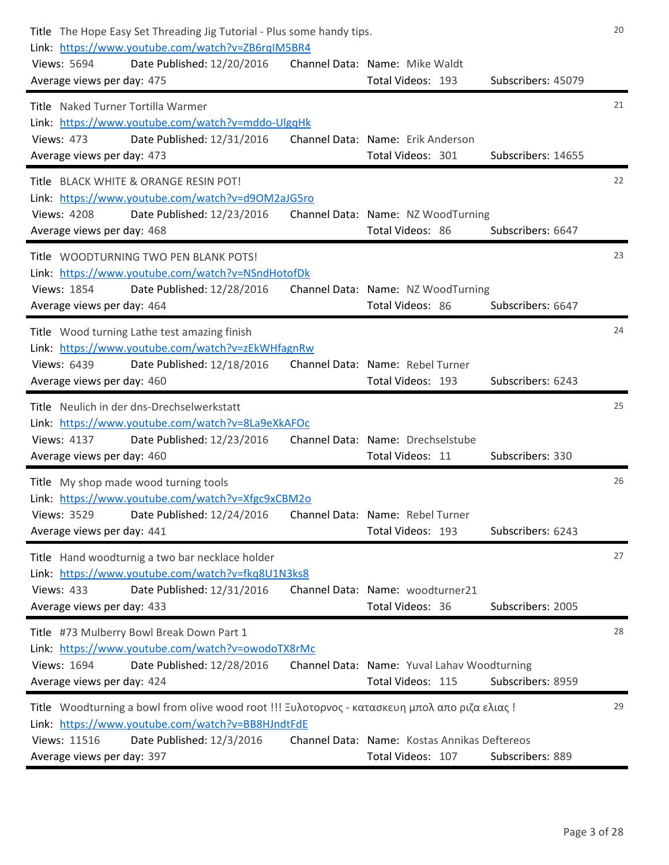| Title The Hope Easy Set Threading Jig Tutorial - Plus some handy tips.<br>Link: https://www.youtube.com/watch?v=ZB6rqIM5BR4<br>Views: 5694<br>Date Published: 12/20/2016<br>Average views per day: 475                        | Channel Data: Name: Mike Waldt<br>Total Videos: 193<br>Subscribers: 45079             | 20 |
|-------------------------------------------------------------------------------------------------------------------------------------------------------------------------------------------------------------------------------|---------------------------------------------------------------------------------------|----|
| Title Naked Turner Tortilla Warmer<br>Link: https://www.youtube.com/watch?v=mddo-UlgqHk<br>Date Published: 12/31/2016<br><b>Views: 473</b><br>Average views per day: 473                                                      | Channel Data: Name: Erik Anderson<br>Total Videos: 301<br>Subscribers: 14655          | 21 |
| Title BLACK WHITE & ORANGE RESIN POT!<br>Link: https://www.youtube.com/watch?v=d9OM2aJG5ro<br><b>Views: 4208</b><br>Date Published: 12/23/2016<br>Average views per day: 468                                                  | Channel Data: Name: NZ WoodTurning<br>Total Videos: 86<br>Subscribers: 6647           | 22 |
| Title WOODTURNING TWO PEN BLANK POTS!<br>Link: https://www.youtube.com/watch?v=NSndHotofDk<br>Views: 1854<br>Date Published: 12/28/2016<br>Average views per day: 464                                                         | Channel Data: Name: NZ WoodTurning<br>Total Videos: 86<br>Subscribers: 6647           | 23 |
| Title Wood turning Lathe test amazing finish<br>Link: https://www.youtube.com/watch?v=zEkWHfagnRw<br>Views: 6439<br>Date Published: 12/18/2016<br>Average views per day: 460                                                  | Channel Data: Name: Rebel Turner<br>Total Videos: 193<br>Subscribers: 6243            | 24 |
| Title Neulich in der dns-Drechselwerkstatt<br>Link: https://www.youtube.com/watch?v=8La9eXkAFOc<br>Views: 4137<br>Date Published: 12/23/2016<br>Average views per day: 460                                                    | Channel Data: Name: Drechselstube<br>Total Videos: 11<br>Subscribers: 330             | 25 |
| Title My shop made wood turning tools<br>Link: https://www.youtube.com/watch?v=Xfgc9xCBM2o<br>Views: 3529 Date Published: 12/24/2016 Channel Data: Name: Rebel Turner<br>Average views per day: 441                           | Total Videos: 193<br>Subscribers: 6243                                                | 26 |
| Title Hand woodturnig a two bar necklace holder<br>Link: https://www.youtube.com/watch?v=fkq8U1N3ks8<br><b>Views: 433</b><br>Date Published: 12/31/2016<br>Average views per day: 433                                         | Channel Data: Name: woodturner21<br>Total Videos: 36<br>Subscribers: 2005             | 27 |
| Title #73 Mulberry Bowl Break Down Part 1<br>Link: https://www.youtube.com/watch?v=owodoTX8rMc<br>Views: 1694<br>Date Published: 12/28/2016<br>Average views per day: 424                                                     | Channel Data: Name: Yuval Lahav Woodturning<br>Subscribers: 8959<br>Total Videos: 115 | 28 |
| Title Woodturning a bowl from olive wood root !!! Ξυλοτορνος - κατασκευη μπολ απο ριζα ελιας!<br>Link: https://www.youtube.com/watch?v=BB8HJndtFdE<br>Views: 11516<br>Date Published: 12/3/2016<br>Average views per day: 397 | Channel Data: Name: Kostas Annikas Deftereos<br>Subscribers: 889<br>Total Videos: 107 | 29 |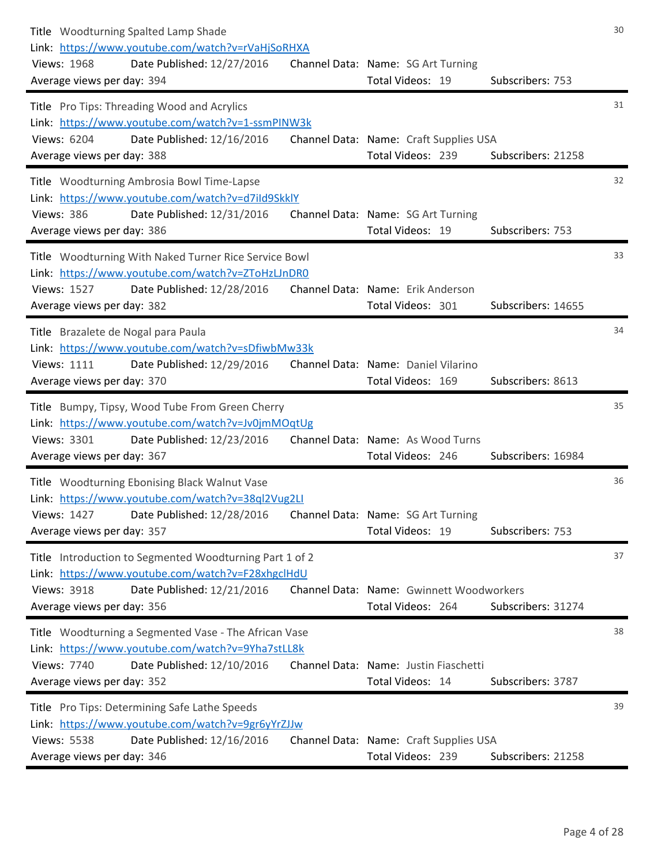| Title Woodturning Spalted Lamp Shade<br>Link: https://www.youtube.com/watch?v=rVaHjSoRHXA<br>Views: 1968<br>Date Published: 12/27/2016<br>Average views per day: 394                         | Channel Data: Name: SG Art Turning<br>Total Videos: 19        | Subscribers: 753   | 30 |
|----------------------------------------------------------------------------------------------------------------------------------------------------------------------------------------------|---------------------------------------------------------------|--------------------|----|
| Title Pro Tips: Threading Wood and Acrylics<br>Link: https://www.youtube.com/watch?v=1-ssmPINW3k<br>Date Published: 12/16/2016<br>Views: 6204<br>Average views per day: 388                  | Channel Data: Name: Craft Supplies USA<br>Total Videos: 239   | Subscribers: 21258 | 31 |
| Title Woodturning Ambrosia Bowl Time-Lapse<br>Link: https://www.youtube.com/watch?v=d7ild9SkklY<br>Date Published: 12/31/2016<br><b>Views: 386</b><br>Average views per day: 386             | Channel Data: Name: SG Art Turning<br>Total Videos: 19        | Subscribers: 753   | 32 |
| Title Woodturning With Naked Turner Rice Service Bowl<br>Link: https://www.youtube.com/watch?v=ZToHzLJnDR0<br><b>Views: 1527</b><br>Date Published: 12/28/2016<br>Average views per day: 382 | Channel Data: Name: Erik Anderson<br>Total Videos: 301        | Subscribers: 14655 | 33 |
| Title Brazalete de Nogal para Paula<br>Link: https://www.youtube.com/watch?v=sDfiwbMw33k<br>Views: 1111<br>Date Published: 12/29/2016<br>Average views per day: 370                          | Channel Data: Name: Daniel Vilarino<br>Total Videos: 169      | Subscribers: 8613  | 34 |
| Title Bumpy, Tipsy, Wood Tube From Green Cherry<br>Link: https://www.youtube.com/watch?v=Jv0jmMOqtUg<br>Views: 3301<br>Date Published: 12/23/2016<br>Average views per day: 367              | Channel Data: Name: As Wood Turns<br>Total Videos: 246        | Subscribers: 16984 | 35 |
| Title Woodturning Ebonising Black Walnut Vase<br>Link: https://www.youtube.com/watch?v=38ql2Vug2LI<br>Date Published: 12/28/2016<br>Views: 1427<br>Average views per day: 357                | Channel Data: Name: SG Art Turning<br>Total Videos: 19        | Subscribers: 753   | 36 |
| Title Introduction to Segmented Woodturning Part 1 of 2<br>Link: https://www.youtube.com/watch?v=F28xhgclHdU<br>Date Published: 12/21/2016<br>Views: 3918<br>Average views per day: 356      | Channel Data: Name: Gwinnett Woodworkers<br>Total Videos: 264 | Subscribers: 31274 | 37 |
| Title Woodturning a Segmented Vase - The African Vase<br>Link: https://www.youtube.com/watch?v=9Yha7stLL8k<br>Views: 7740<br>Date Published: 12/10/2016<br>Average views per day: 352        | Channel Data: Name: Justin Fiaschetti<br>Total Videos: 14     | Subscribers: 3787  | 38 |
| Title Pro Tips: Determining Safe Lathe Speeds<br>Link: https://www.youtube.com/watch?v=9gr6yYrZJJw<br>Views: 5538<br>Date Published: 12/16/2016<br>Average views per day: 346                | Channel Data: Name: Craft Supplies USA<br>Total Videos: 239   | Subscribers: 21258 | 39 |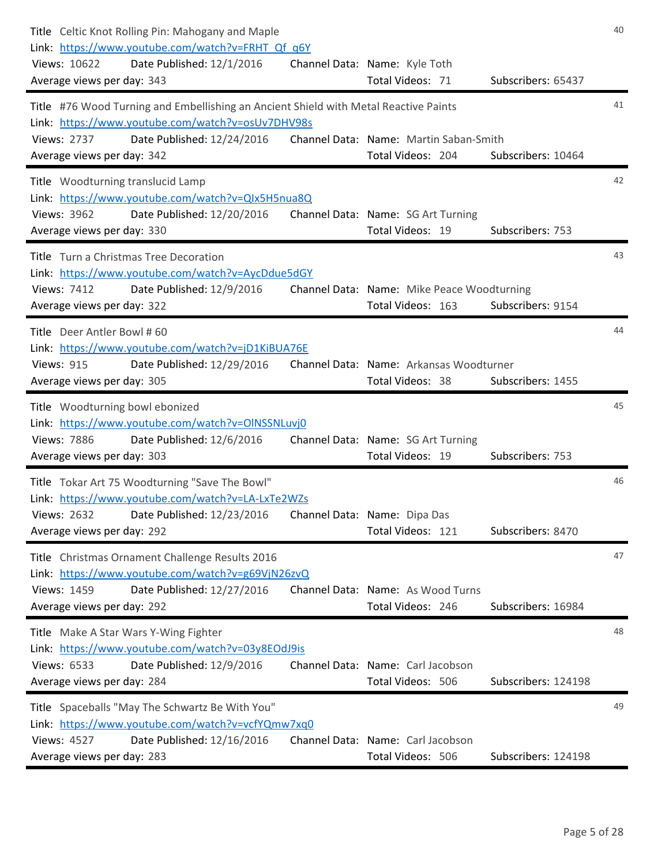| Title Celtic Knot Rolling Pin: Mahogany and Maple<br>Link: https://www.youtube.com/watch?v=FRHT Qf q6Y<br>Date Published: 12/1/2016<br>Views: 10622<br>Average views per day: 343                        | Channel Data: Name: Kyle Toth<br>Total Videos: 71               | Subscribers: 65437  | 40 |
|----------------------------------------------------------------------------------------------------------------------------------------------------------------------------------------------------------|-----------------------------------------------------------------|---------------------|----|
| Title #76 Wood Turning and Embellishing an Ancient Shield with Metal Reactive Paints<br>Link: https://www.youtube.com/watch?v=osUv7DHV98s<br>Date Published: 12/24/2016<br>Views: 2737                   | Channel Data: Name: Martin Saban-Smith                          |                     | 41 |
| Average views per day: 342                                                                                                                                                                               | Total Videos: 204                                               | Subscribers: 10464  |    |
| Title Woodturning translucid Lamp<br>Link: https://www.youtube.com/watch?v=QIx5H5nua8Q<br>Views: 3962<br>Date Published: 12/20/2016<br>Average views per day: 330                                        | Channel Data: Name: SG Art Turning<br>Total Videos: 19          | Subscribers: 753    | 42 |
| Title Turn a Christmas Tree Decoration<br>Link: https://www.youtube.com/watch?v=AycDdue5dGY<br>Views: 7412<br>Date Published: 12/9/2016<br>Average views per day: 322                                    | Channel Data: Name: Mike Peace Woodturning<br>Total Videos: 163 | Subscribers: 9154   | 43 |
| Title Deer Antler Bowl #60<br>Link: https://www.youtube.com/watch?v=jD1KiBUA76E<br><b>Views: 915</b><br>Date Published: 12/29/2016<br>Average views per day: 305                                         | Channel Data: Name: Arkansas Woodturner<br>Total Videos: 38     | Subscribers: 1455   | 44 |
| Title Woodturning bowl ebonized<br>Link: https://www.youtube.com/watch?v=OINSSNLuvj0<br>Views: 7886<br>Date Published: 12/6/2016<br>Average views per day: 303                                           | Channel Data: Name: SG Art Turning<br>Total Videos: 19          | Subscribers: 753    | 45 |
| Title Tokar Art 75 Woodturning "Save The Bowl"<br>Link: https://www.youtube.com/watch?v=LA-LxTe2WZs<br>Views: 2632 Date Published: 12/23/2016 Channel Data: Name: Dipa Das<br>Average views per day: 292 | Total Videos: 121                                               | Subscribers: 8470   | 46 |
| Title Christmas Ornament Challenge Results 2016<br>Link: https://www.youtube.com/watch?v=g69VjN26zvQ<br>Views: 1459<br>Date Published: 12/27/2016<br>Average views per day: 292                          | Channel Data: Name: As Wood Turns<br>Total Videos: 246          | Subscribers: 16984  | 47 |
| Title Make A Star Wars Y-Wing Fighter<br>Link: https://www.youtube.com/watch?v=03y8EOdJ9is<br>Views: 6533<br>Date Published: 12/9/2016<br>Average views per day: 284                                     | Channel Data: Name: Carl Jacobson<br>Total Videos: 506          | Subscribers: 124198 | 48 |
| Title Spaceballs "May The Schwartz Be With You"<br>Link: https://www.youtube.com/watch?v=vcfYQmw7xq0<br>Views: 4527<br>Date Published: 12/16/2016<br>Average views per day: 283                          | Channel Data: Name: Carl Jacobson<br>Total Videos: 506          | Subscribers: 124198 | 49 |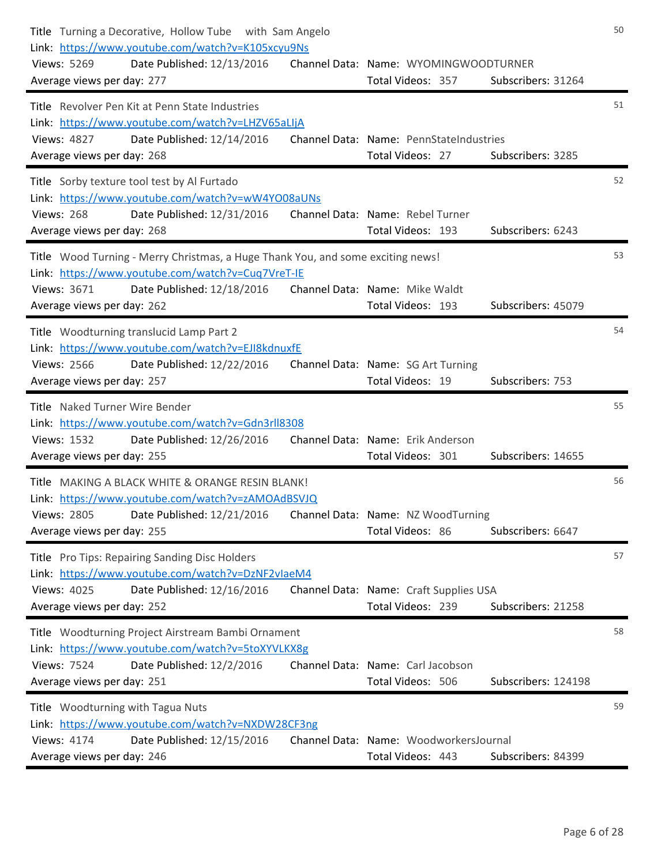| Title Turning a Decorative, Hollow Tube with Sam Angelo<br>Link: https://www.youtube.com/watch?v=K105xcyu9Ns<br><b>Views: 5269</b><br>Date Published: 12/13/2016<br>Average views per day: 277                  | Channel Data: Name: WYOMINGWOODTURNER<br>Total Videos: 357<br>Subscribers: 31264  | 50 |
|-----------------------------------------------------------------------------------------------------------------------------------------------------------------------------------------------------------------|-----------------------------------------------------------------------------------|----|
| Title Revolver Pen Kit at Penn State Industries<br>Link: https://www.youtube.com/watch?v=LHZV65aLIjA<br>Date Published: 12/14/2016<br><b>Views: 4827</b><br>Average views per day: 268                          | Channel Data: Name: PennStateIndustries<br>Total Videos: 27<br>Subscribers: 3285  | 51 |
| Title Sorby texture tool test by Al Furtado<br>Link: https://www.youtube.com/watch?v=wW4YO08aUNs<br><b>Views: 268</b><br>Date Published: 12/31/2016<br>Average views per day: 268                               | Channel Data: Name: Rebel Turner<br>Total Videos: 193<br>Subscribers: 6243        | 52 |
| Title Wood Turning - Merry Christmas, a Huge Thank You, and some exciting news!<br>Link: https://www.youtube.com/watch?v=Cuq7VreT-IE<br>Views: 3671<br>Date Published: 12/18/2016<br>Average views per day: 262 | Channel Data: Name: Mike Waldt<br>Total Videos: 193<br>Subscribers: 45079         | 53 |
| Title Woodturning translucid Lamp Part 2<br>Link: https://www.youtube.com/watch?v=EJI8kdnuxfE<br><b>Views: 2566</b><br>Date Published: 12/22/2016<br>Average views per day: 257                                 | Channel Data: Name: SG Art Turning<br>Total Videos: 19<br>Subscribers: 753        | 54 |
| Title Naked Turner Wire Bender<br>Link: https://www.youtube.com/watch?v=Gdn3rll8308<br>Views: 1532<br>Date Published: 12/26/2016<br>Average views per day: 255                                                  | Channel Data: Name: Erik Anderson<br>Total Videos: 301<br>Subscribers: 14655      | 55 |
| Title MAKING A BLACK WHITE & ORANGE RESIN BLANK!<br>Link: https://www.youtube.com/watch?v=zAMOAdBSVJQ<br><b>Views: 2805</b><br>Date Published: 12/21/2016<br>Average views per day: 255                         | Channel Data: Name: NZ WoodTurning<br>Total Videos: 86<br>Subscribers: 6647       | 56 |
| Title Pro Tips: Repairing Sanding Disc Holders<br>Link: https://www.youtube.com/watch?v=DzNF2vlaeM4<br><b>Views: 4025</b><br>Date Published: 12/16/2016<br>Average views per day: 252                           | Channel Data: Name: Craft Supplies USA<br>Total Videos: 239<br>Subscribers: 21258 | 57 |
| Title Woodturning Project Airstream Bambi Ornament<br>Link: https://www.youtube.com/watch?v=5toXYVLKX8g<br>Date Published: 12/2/2016<br><b>Views: 7524</b><br>Average views per day: 251                        | Channel Data: Name: Carl Jacobson<br>Total Videos: 506<br>Subscribers: 124198     | 58 |
| Title Woodturning with Tagua Nuts<br>Link: https://www.youtube.com/watch?v=NXDW28CF3ng<br>Views: 4174<br>Date Published: 12/15/2016<br>Average views per day: 246                                               | Channel Data: Name: WoodworkersJournal<br>Total Videos: 443<br>Subscribers: 84399 | 59 |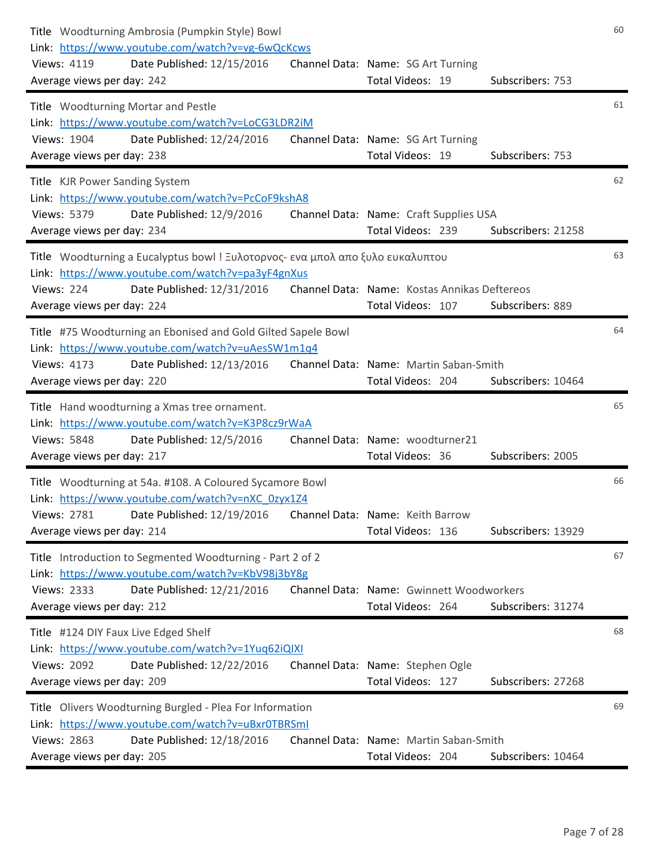| Title Woodturning Ambrosia (Pumpkin Style) Bowl<br>Link: https://www.youtube.com/watch?v=vg-6wQcKcws<br>Views: 4119<br>Date Published: 12/15/2016<br>Average views per day: 242                                              | Channel Data: Name: SG Art Turning<br>Total Videos: 19<br>Subscribers: 753            | 60 |
|------------------------------------------------------------------------------------------------------------------------------------------------------------------------------------------------------------------------------|---------------------------------------------------------------------------------------|----|
| Title Woodturning Mortar and Pestle<br>Link: https://www.youtube.com/watch?v=LoCG3LDR2iM<br>Date Published: 12/24/2016<br>Views: 1904<br>Average views per day: 238                                                          | Channel Data: Name: SG Art Turning<br>Total Videos: 19<br>Subscribers: 753            | 61 |
| Title KJR Power Sanding System<br>Link: https://www.youtube.com/watch?v=PcCoF9kshA8<br>Views: 5379<br>Date Published: 12/9/2016<br>Average views per day: 234                                                                | Channel Data: Name: Craft Supplies USA<br>Total Videos: 239<br>Subscribers: 21258     | 62 |
| Title Woodturning a Eucalyptus bowl ! Ξυλοτορνος- ενα μπολ απο ξυλο ευκαλυπτου<br>Link: https://www.youtube.com/watch?v=pa3yF4gnXus<br><b>Views: 224</b><br>Date Published: 12/31/2016<br>Average views per day: 224         | Channel Data: Name: Kostas Annikas Deftereos<br>Total Videos: 107<br>Subscribers: 889 | 63 |
| Title #75 Woodturning an Ebonised and Gold Gilted Sapele Bowl<br>Link: https://www.youtube.com/watch?v=uAesSW1m1q4<br><b>Views: 4173</b><br>Date Published: 12/13/2016<br>Average views per day: 220                         | Channel Data: Name: Martin Saban-Smith<br>Total Videos: 204<br>Subscribers: 10464     | 64 |
| Title Hand woodturning a Xmas tree ornament.<br>Link: https://www.youtube.com/watch?v=K3P8cz9rWaA<br><b>Views: 5848</b><br>Date Published: 12/5/2016<br>Average views per day: 217                                           | Channel Data: Name: woodturner21<br>Subscribers: 2005<br>Total Videos: 36             | 65 |
| Title Woodturning at 54a. #108. A Coloured Sycamore Bowl<br>Link: https://www.youtube.com/watch?v=nXC_0zyx1Z4<br>Date Published: 12/19/2016    Channel Data: Name: Keith Barrow<br>Views: 2781<br>Average views per day: 214 | Total Videos: 136<br>Subscribers: 13929                                               | 66 |
| Title Introduction to Segmented Woodturning - Part 2 of 2<br>Link: https://www.youtube.com/watch?v=KbV98j3bY8g<br><b>Views: 2333</b><br>Date Published: 12/21/2016<br>Average views per day: 212                             | Channel Data: Name: Gwinnett Woodworkers<br>Subscribers: 31274<br>Total Videos: 264   | 67 |
| Title #124 DIY Faux Live Edged Shelf<br>Link: https://www.youtube.com/watch?v=1Yuq62iQIXI<br><b>Views: 2092</b><br>Date Published: 12/22/2016<br>Average views per day: 209                                                  | Channel Data: Name: Stephen Ogle<br>Total Videos: 127<br>Subscribers: 27268           | 68 |
| Title Olivers Woodturning Burgled - Plea For Information<br>Link: https://www.youtube.com/watch?v=uBxr0TBRSml<br><b>Views: 2863</b><br>Date Published: 12/18/2016<br>Average views per day: 205                              | Channel Data: Name: Martin Saban-Smith<br>Total Videos: 204<br>Subscribers: 10464     | 69 |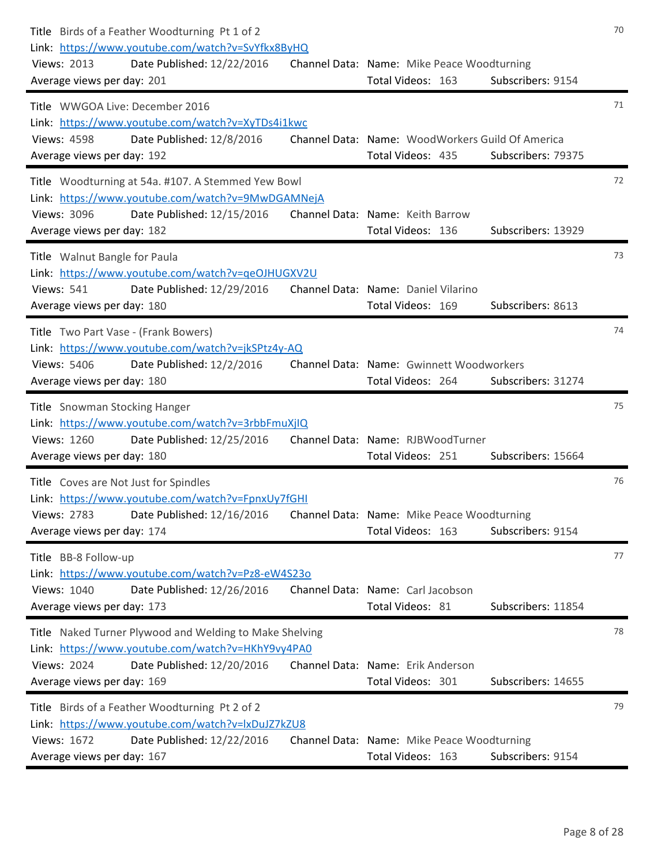| Title Birds of a Feather Woodturning Pt 1 of 2<br>Link: https://www.youtube.com/watch?v=SvYfkx8ByHQ<br>Date Published: 12/22/2016<br><b>Views: 2013</b><br>Average views per day: 201          | Channel Data: Name: Mike Peace Woodturning<br>Subscribers: 9154<br>Total Videos: 163        | 70 |
|------------------------------------------------------------------------------------------------------------------------------------------------------------------------------------------------|---------------------------------------------------------------------------------------------|----|
| Title WWGOA Live: December 2016<br>Link: https://www.youtube.com/watch?v=XyTDs4i1kwc<br>Date Published: 12/8/2016<br><b>Views: 4598</b><br>Average views per day: 192                          | Channel Data: Name: WoodWorkers Guild Of America<br>Total Videos: 435<br>Subscribers: 79375 | 71 |
| Title Woodturning at 54a. #107. A Stemmed Yew Bowl<br>Link: https://www.youtube.com/watch?v=9MwDGAMNejA<br>Date Published: 12/15/2016<br><b>Views: 3096</b><br>Average views per day: 182      | Channel Data: Name: Keith Barrow<br>Total Videos: 136<br>Subscribers: 13929                 | 72 |
| Title Walnut Bangle for Paula<br>Link: https://www.youtube.com/watch?v=qeOJHUGXV2U<br><b>Views: 541</b><br>Date Published: 12/29/2016<br>Average views per day: 180                            | Channel Data: Name: Daniel Vilarino<br>Total Videos: 169<br>Subscribers: 8613               | 73 |
| Title Two Part Vase - (Frank Bowers)<br>Link: https://www.youtube.com/watch?v=jkSPtz4y-AQ<br>Views: 5406<br>Date Published: 12/2/2016<br>Average views per day: 180                            | Channel Data: Name: Gwinnett Woodworkers<br>Total Videos: 264<br>Subscribers: 31274         | 74 |
| Title Snowman Stocking Hanger<br>Link: https://www.youtube.com/watch?v=3rbbFmuXjIQ<br>Views: 1260<br>Date Published: 12/25/2016<br>Average views per day: 180                                  | Channel Data: Name: RJBWoodTurner<br>Total Videos: 251<br>Subscribers: 15664                | 75 |
| Title Coves are Not Just for Spindles<br>Link: https://www.youtube.com/watch?v=FpnxUy7fGHI<br>Date Published: 12/16/2016<br>Views: 2783<br>Average views per day: 174                          | Channel Data: Name: Mike Peace Woodturning<br>Total Videos: 163<br>Subscribers: 9154        | 76 |
| Title BB-8 Follow-up<br>Link: https://www.youtube.com/watch?v=Pz8-eW4S230<br>Views: 1040<br>Date Published: 12/26/2016<br>Average views per day: 173                                           | Channel Data: Name: Carl Jacobson<br>Total Videos: 81<br>Subscribers: 11854                 | 77 |
| Title Naked Turner Plywood and Welding to Make Shelving<br>Link: https://www.youtube.com/watch?v=HKhY9vy4PA0<br><b>Views: 2024</b><br>Date Published: 12/20/2016<br>Average views per day: 169 | Channel Data: Name: Erik Anderson<br>Total Videos: 301<br>Subscribers: 14655                | 78 |
| Title Birds of a Feather Woodturning Pt 2 of 2<br>Link: https://www.youtube.com/watch?v=lxDuJZ7kZU8<br>Views: 1672<br>Date Published: 12/22/2016<br>Average views per day: 167                 | Channel Data: Name: Mike Peace Woodturning<br>Subscribers: 9154<br>Total Videos: 163        | 79 |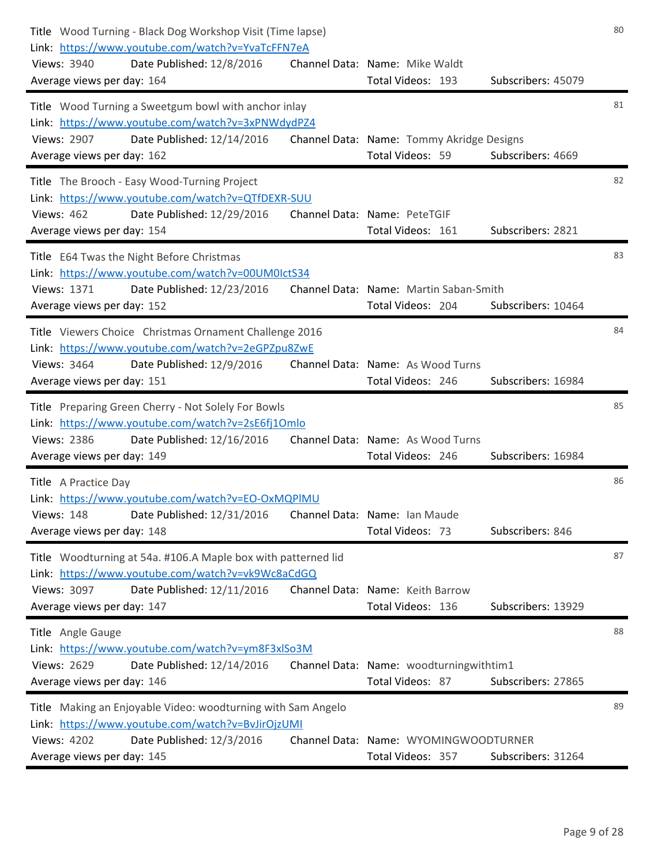| Title Wood Turning - Black Dog Workshop Visit (Time lapse)<br>Link: https://www.youtube.com/watch?v=YvaTcFFN7eA<br>Views: 3940<br>Date Published: 12/8/2016<br>Average views per day: 164          | Channel Data: Name: Mike Waldt<br>Total Videos: 193<br>Subscribers: 45079          | 80 |
|----------------------------------------------------------------------------------------------------------------------------------------------------------------------------------------------------|------------------------------------------------------------------------------------|----|
| Title Wood Turning a Sweetgum bowl with anchor inlay<br>Link: https://www.youtube.com/watch?v=3xPNWdydPZ4<br><b>Views: 2907</b><br>Date Published: 12/14/2016<br>Average views per day: 162        | Channel Data: Name: Tommy Akridge Designs<br>Total Videos: 59<br>Subscribers: 4669 | 81 |
| Title The Brooch - Easy Wood-Turning Project<br>Link: https://www.youtube.com/watch?v=QTfDEXR-SUU<br><b>Views: 462</b><br>Date Published: 12/29/2016<br>Average views per day: 154                 | Channel Data: Name: PeteTGIF<br>Total Videos: 161<br>Subscribers: 2821             | 82 |
| Title E64 Twas the Night Before Christmas<br>Link: https://www.youtube.com/watch?v=00UM0IctS34<br>Views: 1371<br>Date Published: 12/23/2016<br>Average views per day: 152                          | Channel Data: Name: Martin Saban-Smith<br>Total Videos: 204<br>Subscribers: 10464  | 83 |
| Title Viewers Choice Christmas Ornament Challenge 2016<br>Link: https://www.youtube.com/watch?v=2eGPZpu8ZwE<br>Views: 3464<br>Date Published: 12/9/2016<br>Average views per day: 151              | Channel Data: Name: As Wood Turns<br>Subscribers: 16984<br>Total Videos: 246       | 84 |
| Title Preparing Green Cherry - Not Solely For Bowls<br>Link: https://www.youtube.com/watch?v=2sE6fj1Omlo<br>Views: 2386<br>Date Published: 12/16/2016<br>Average views per day: 149                | Channel Data: Name: As Wood Turns<br>Total Videos: 246<br>Subscribers: 16984       | 85 |
| Title A Practice Day<br>Link: https://www.youtube.com/watch?v=EO-OxMQPIMU<br>Views: 148 Date Published: 12/31/2016 Channel Data: Name: Ian Maude<br>Average views per day: 148                     | Total Videos: 73<br>Subscribers: 846                                               | 86 |
| Title Woodturning at 54a. #106.A Maple box with patterned lid<br>Link: https://www.youtube.com/watch?v=vk9Wc8aCdGQ<br>Date Published: 12/11/2016<br>Views: 3097<br>Average views per day: 147      | Channel Data: Name: Keith Barrow<br>Total Videos: 136<br>Subscribers: 13929        | 87 |
| Title Angle Gauge<br>Link: https://www.youtube.com/watch?v=ym8F3xlSo3M<br><b>Views: 2629</b><br>Date Published: 12/14/2016<br>Average views per day: 146                                           | Channel Data: Name: woodturningwithtim1<br>Total Videos: 87<br>Subscribers: 27865  | 88 |
| Title Making an Enjoyable Video: woodturning with Sam Angelo<br>Link: https://www.youtube.com/watch?v=BvJirOjzUMI<br><b>Views: 4202</b><br>Date Published: 12/3/2016<br>Average views per day: 145 | Channel Data: Name: WYOMINGWOODTURNER<br>Subscribers: 31264<br>Total Videos: 357   | 89 |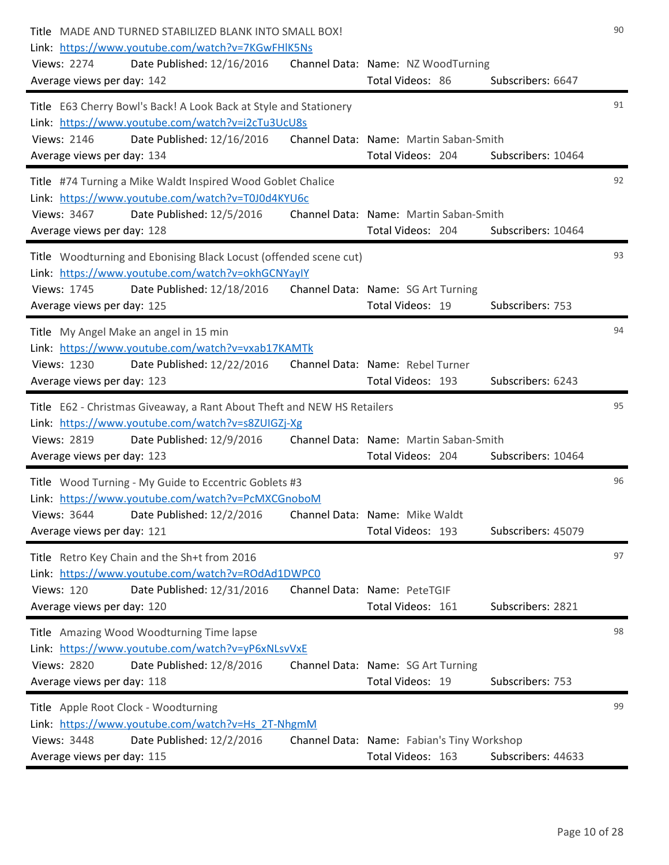| Title MADE AND TURNED STABILIZED BLANK INTO SMALL BOX!<br>Link: https://www.youtube.com/watch?v=7KGwFHIK5Ns<br><b>Views: 2274</b><br>Date Published: 12/16/2016<br>Average views per day: 142            | Channel Data: Name: NZ WoodTurning<br>Total Videos: 86<br>Subscribers: 6647           | 90 |
|----------------------------------------------------------------------------------------------------------------------------------------------------------------------------------------------------------|---------------------------------------------------------------------------------------|----|
| Title E63 Cherry Bowl's Back! A Look Back at Style and Stationery<br>Link: https://www.youtube.com/watch?v=i2cTu3UcU8s<br><b>Views: 2146</b><br>Date Published: 12/16/2016<br>Average views per day: 134 | Channel Data: Name: Martin Saban-Smith<br>Total Videos: 204<br>Subscribers: 10464     | 91 |
| Title #74 Turning a Mike Waldt Inspired Wood Goblet Chalice<br>Link: https://www.youtube.com/watch?v=T0J0d4KYU6c<br>Views: 3467<br>Date Published: 12/5/2016<br>Average views per day: 128               | Channel Data: Name: Martin Saban-Smith<br>Total Videos: 204<br>Subscribers: 10464     | 92 |
| Title Woodturning and Ebonising Black Locust (offended scene cut)<br>Link: https://www.youtube.com/watch?v=okhGCNYayIY<br>Views: 1745<br>Date Published: 12/18/2016<br>Average views per day: 125        | Channel Data: Name: SG Art Turning<br>Total Videos: 19<br>Subscribers: 753            | 93 |
| Title My Angel Make an angel in 15 min<br>Link: https://www.youtube.com/watch?v=vxab17KAMTk<br>Views: 1230<br>Date Published: 12/22/2016<br>Average views per day: 123                                   | Channel Data: Name: Rebel Turner<br>Total Videos: 193<br>Subscribers: 6243            | 94 |
| Title E62 - Christmas Giveaway, a Rant About Theft and NEW HS Retailers<br>Link: https://www.youtube.com/watch?v=s8ZUIGZj-Xg<br>Views: 2819<br>Date Published: 12/9/2016<br>Average views per day: 123   | Channel Data: Name: Martin Saban-Smith<br>Total Videos: 204<br>Subscribers: 10464     | 95 |
| Title Wood Turning - My Guide to Eccentric Goblets #3<br>Link: https://www.youtube.com/watch?v=PcMXCGnoboM<br>Views: 3644 Date Published: 12/2/2016<br>Average views per day: 121                        | Channel Data: Name: Mike Waldt<br>Total Videos: 193<br>Subscribers: 45079             | 96 |
| Title Retro Key Chain and the Sh+t from 2016<br>Link: https://www.youtube.com/watch?v=ROdAd1DWPC0<br><b>Views: 120</b><br>Date Published: 12/31/2016<br>Average views per day: 120                       | Channel Data: Name: PeteTGIF<br>Total Videos: 161<br>Subscribers: 2821                | 97 |
| Title Amazing Wood Woodturning Time lapse<br>Link: https://www.youtube.com/watch?v=yP6xNLsvVxE<br>Views: 2820<br>Date Published: 12/8/2016<br>Average views per day: 118                                 | Channel Data: Name: SG Art Turning<br>Total Videos: 19<br>Subscribers: 753            | 98 |
| Title Apple Root Clock - Woodturning<br>Link: https://www.youtube.com/watch?v=Hs 2T-NhgmM<br>Views: 3448<br>Date Published: 12/2/2016<br>Average views per day: 115                                      | Channel Data: Name: Fabian's Tiny Workshop<br>Total Videos: 163<br>Subscribers: 44633 | 99 |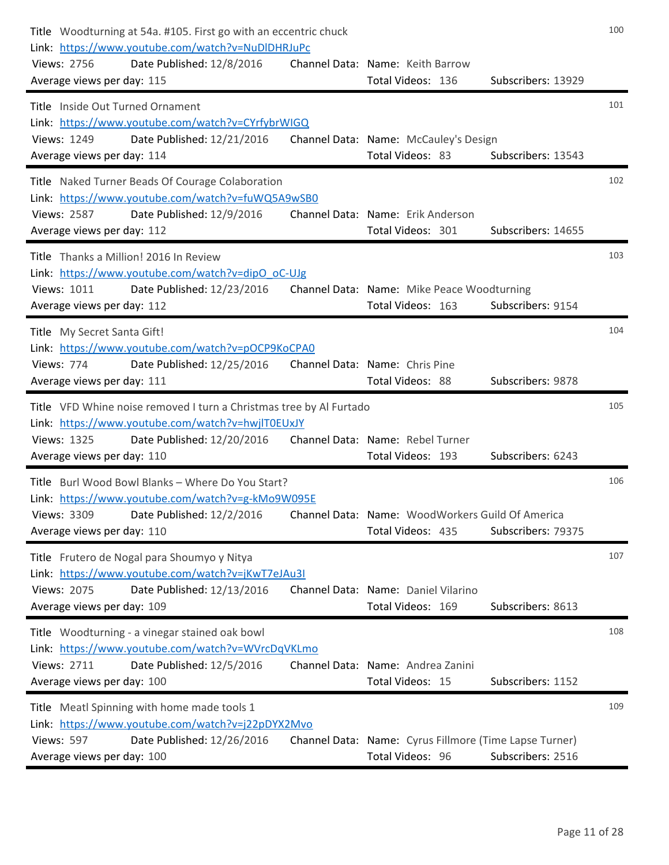| Title Woodturning at 54a. #105. First go with an eccentric chuck<br>Link: https://www.youtube.com/watch?v=NuDIDHRJuPc<br>Date Published: 12/8/2016<br>Views: 2756<br>Average views per day: 115 | Channel Data: Name: Keith Barrow<br>Total Videos: 136<br>Subscribers: 13929                     | 100 |
|-------------------------------------------------------------------------------------------------------------------------------------------------------------------------------------------------|-------------------------------------------------------------------------------------------------|-----|
| Title Inside Out Turned Ornament<br>Link: https://www.youtube.com/watch?v=CYrfybrWIGQ                                                                                                           |                                                                                                 | 101 |
| Date Published: 12/21/2016<br><b>Views: 1249</b><br>Average views per day: 114                                                                                                                  | Channel Data: Name: McCauley's Design<br>Total Videos: 83<br>Subscribers: 13543                 |     |
| Title Naked Turner Beads Of Courage Colaboration<br>Link: https://www.youtube.com/watch?v=fuWQ5A9wSB0<br><b>Views: 2587</b><br>Date Published: 12/9/2016<br>Average views per day: 112          | Channel Data: Name: Erik Anderson<br>Total Videos: 301<br>Subscribers: 14655                    | 102 |
| Title Thanks a Million! 2016 In Review                                                                                                                                                          |                                                                                                 | 103 |
| Link: https://www.youtube.com/watch?v=dipO_oC-UJg<br>Views: 1011<br>Date Published: 12/23/2016<br>Average views per day: 112                                                                    | Channel Data: Name: Mike Peace Woodturning<br>Total Videos: 163<br>Subscribers: 9154            |     |
| Title My Secret Santa Gift!<br>Link: https://www.youtube.com/watch?v=pOCP9KoCPA0<br>Date Published: 12/25/2016<br>Views: 774<br>Average views per day: 111                                      | Channel Data: Name: Chris Pine<br>Total Videos: 88<br>Subscribers: 9878                         | 104 |
| Title VFD Whine noise removed I turn a Christmas tree by Al Furtado                                                                                                                             |                                                                                                 | 105 |
| Link: https://www.youtube.com/watch?v=hwjlT0EUxJY<br>Views: 1325<br>Date Published: 12/20/2016<br>Average views per day: 110                                                                    | Channel Data: Name: Rebel Turner<br>Subscribers: 6243<br>Total Videos: 193                      |     |
| Title Burl Wood Bowl Blanks - Where Do You Start?<br>Link: https://www.youtube.com/watch?v=g-kMo9W095E                                                                                          |                                                                                                 | 106 |
| Views: 3309 Date Published: 12/2/2016<br>Average views per day: 110                                                                                                                             | Channel Data: Name: WoodWorkers Guild Of America<br>Total Videos: 435<br>Subscribers: 79375     |     |
| Title Frutero de Nogal para Shoumyo y Nitya                                                                                                                                                     |                                                                                                 | 107 |
| Link: https://www.youtube.com/watch?v=jKwT7eJAu3I<br><b>Views: 2075</b><br>Date Published: 12/13/2016<br>Average views per day: 109                                                             | Channel Data: Name: Daniel Vilarino<br>Total Videos: 169<br>Subscribers: 8613                   |     |
| Title Woodturning - a vinegar stained oak bowl<br>Link: https://www.youtube.com/watch?v=WVrcDqVKLmo<br><b>Views: 2711</b>                                                                       | Channel Data: Name: Andrea Zanini                                                               | 108 |
| Date Published: 12/5/2016<br>Average views per day: 100                                                                                                                                         | Total Videos: 15<br>Subscribers: 1152                                                           |     |
| Title Meatl Spinning with home made tools 1<br>Link: https://www.youtube.com/watch?v=j22pDYX2Mvo                                                                                                |                                                                                                 | 109 |
| <b>Views: 597</b><br>Date Published: 12/26/2016<br>Average views per day: 100                                                                                                                   | Channel Data: Name: Cyrus Fillmore (Time Lapse Turner)<br>Subscribers: 2516<br>Total Videos: 96 |     |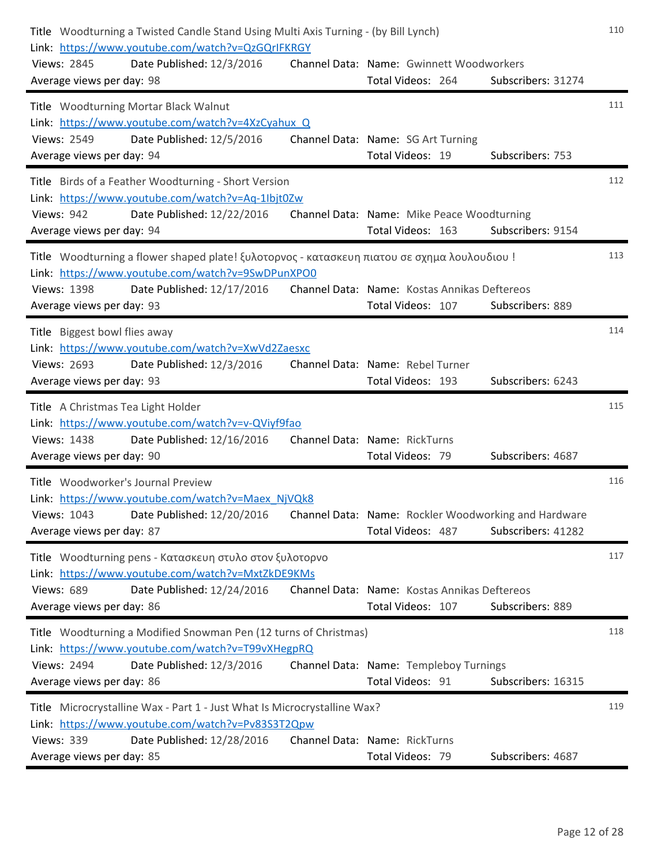| Title Woodturning a Twisted Candle Stand Using Multi Axis Turning - (by Bill Lynch)<br>Link: https://www.youtube.com/watch?v=QzGQrIFKRGY<br>Views: 2845<br>Date Published: 12/3/2016<br>Average views per day: 98 | Channel Data: Name: Gwinnett Woodworkers<br>Total Videos: 264     | Subscribers: 31274 | 110 |
|-------------------------------------------------------------------------------------------------------------------------------------------------------------------------------------------------------------------|-------------------------------------------------------------------|--------------------|-----|
| Title Woodturning Mortar Black Walnut<br>Link: https://www.youtube.com/watch?v=4XzCyahux Q                                                                                                                        |                                                                   |                    | 111 |
| Date Published: 12/5/2016<br><b>Views: 2549</b><br>Average views per day: 94                                                                                                                                      | Channel Data: Name: SG Art Turning<br>Total Videos: 19            | Subscribers: 753   |     |
| Title Birds of a Feather Woodturning - Short Version<br>Link: https://www.youtube.com/watch?v=Aq-1lbjt0Zw<br><b>Views: 942</b><br>Date Published: 12/22/2016                                                      | Channel Data: Name: Mike Peace Woodturning                        |                    | 112 |
| Average views per day: 94                                                                                                                                                                                         | Total Videos: 163                                                 | Subscribers: 9154  |     |
| Title Woodturning a flower shaped plate! ξυλοτορνος - κατασκευη πιατου σε σχημα λουλουδιου!<br>Link: https://www.youtube.com/watch?v=9SwDPunXPO0                                                                  |                                                                   |                    | 113 |
| <b>Views: 1398</b><br>Date Published: 12/17/2016<br>Average views per day: 93                                                                                                                                     | Channel Data: Name: Kostas Annikas Deftereos<br>Total Videos: 107 | Subscribers: 889   |     |
| Title Biggest bowl flies away<br>Link: https://www.youtube.com/watch?v=XwVd2Zaesxc<br><b>Views: 2693</b><br>Date Published: 12/3/2016<br>Average views per day: 93                                                | Channel Data: Name: Rebel Turner<br>Total Videos: 193             | Subscribers: 6243  | 114 |
| Title A Christmas Tea Light Holder                                                                                                                                                                                |                                                                   |                    | 115 |
| Link: https://www.youtube.com/watch?v=v-QViyf9fao<br><b>Views: 1438</b><br>Date Published: 12/16/2016<br>Average views per day: 90                                                                                | Channel Data: Name: RickTurns<br>Total Videos: 79                 | Subscribers: 4687  |     |
| Title Woodworker's Journal Preview<br>Link: https://www.youtube.com/watch?v=Maex NjVQk8                                                                                                                           |                                                                   |                    | 116 |
| Views: 1043 Date Published: 12/20/2016 Channel Data: Name: Rockler Woodworking and Hardware<br>Average views per day: 87                                                                                          | Total Videos: 487                                                 | Subscribers: 41282 |     |
| Title Woodturning pens - Κατασκευη στυλο στον ξυλοτορνο<br>Link: https://www.youtube.com/watch?v=MxtZkDE9KMs                                                                                                      |                                                                   |                    | 117 |
| Date Published: 12/24/2016<br><b>Views: 689</b><br>Average views per day: 86                                                                                                                                      | Channel Data: Name: Kostas Annikas Deftereos<br>Total Videos: 107 | Subscribers: 889   |     |
| Title Woodturning a Modified Snowman Pen (12 turns of Christmas)                                                                                                                                                  |                                                                   |                    | 118 |
| Link: https://www.youtube.com/watch?v=T99vXHegpRQ<br><b>Views: 2494</b><br>Date Published: 12/3/2016                                                                                                              | Channel Data: Name: Templeboy Turnings                            |                    |     |
| Average views per day: 86                                                                                                                                                                                         | Total Videos: 91                                                  | Subscribers: 16315 |     |
| Title Microcrystalline Wax - Part 1 - Just What Is Microcrystalline Wax?<br>Link: https://www.youtube.com/watch?v=Pv83S3T2Qpw                                                                                     |                                                                   |                    | 119 |
| <b>Views: 339</b><br>Date Published: 12/28/2016<br>Average views per day: 85                                                                                                                                      | Channel Data: Name: RickTurns<br>Total Videos: 79                 | Subscribers: 4687  |     |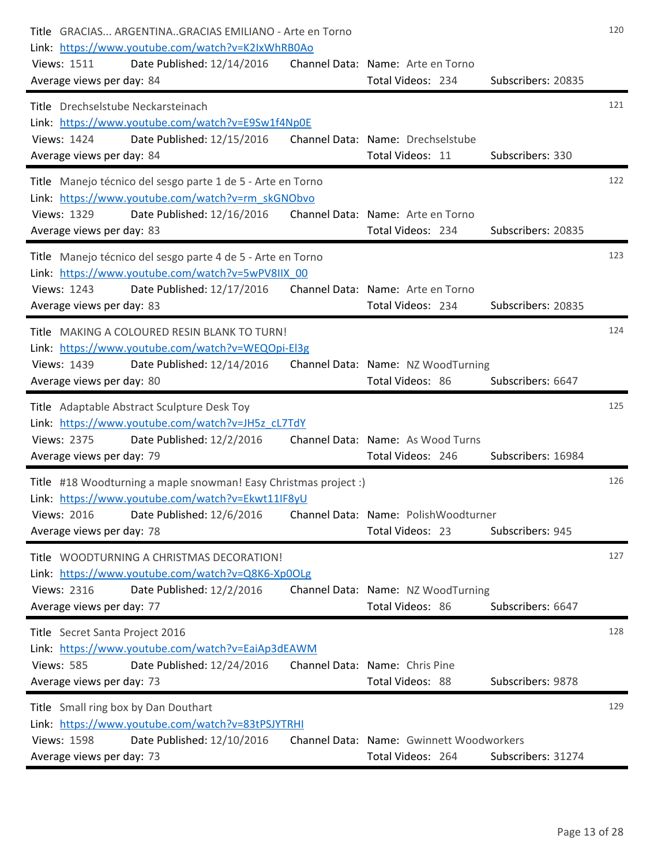| Title GRACIAS ARGENTINAGRACIAS EMILIANO - Arte en Torno<br>Link: https://www.youtube.com/watch?v=K2IxWhRB0Ao                                      | 120                |
|---------------------------------------------------------------------------------------------------------------------------------------------------|--------------------|
| Views: 1511<br>Date Published: 12/14/2016<br>Channel Data: Name: Arte en Torno<br>Total Videos: 234<br>Average views per day: 84                  | Subscribers: 20835 |
| Title Drechselstube Neckarsteinach                                                                                                                | 121                |
| Link: https://www.youtube.com/watch?v=E9Sw1f4Np0E<br>Date Published: 12/15/2016<br>Views: 1424<br>Channel Data: Name: Drechselstube               |                    |
| Total Videos: 11<br>Average views per day: 84                                                                                                     | Subscribers: 330   |
| Title Manejo técnico del sesgo parte 1 de 5 - Arte en Torno<br>Link: https://www.youtube.com/watch?v=rm skGNObvo                                  | 122                |
| Channel Data: Name: Arte en Torno<br><b>Views: 1329</b><br>Date Published: 12/16/2016                                                             |                    |
| Total Videos: 234<br>Average views per day: 83                                                                                                    | Subscribers: 20835 |
| Title Manejo técnico del sesgo parte 4 de 5 - Arte en Torno<br>Link: https://www.youtube.com/watch?v=5wPV8IIX 00                                  | 123                |
| Views: 1243<br>Date Published: 12/17/2016<br>Channel Data: Name: Arte en Torno                                                                    |                    |
| Total Videos: 234<br>Average views per day: 83                                                                                                    | Subscribers: 20835 |
| Title MAKING A COLOURED RESIN BLANK TO TURN!                                                                                                      | 124                |
| Link: https://www.youtube.com/watch?v=WEQOpi-El3g<br>Views: 1439<br>Date Published: 12/14/2016<br>Channel Data: Name: NZ WoodTurning              |                    |
| Total Videos: 86<br>Average views per day: 80                                                                                                     | Subscribers: 6647  |
| Title Adaptable Abstract Sculpture Desk Toy                                                                                                       | 125                |
| Link: https://www.youtube.com/watch?v=JH5z cL7TdY                                                                                                 |                    |
| Views: 2375<br>Date Published: 12/2/2016<br>Channel Data: Name: As Wood Turns                                                                     |                    |
| Total Videos: 246<br>Average views per day: 79                                                                                                    | Subscribers: 16984 |
| Title #18 Woodturning a maple snowman! Easy Christmas project :)<br>Link: https://www.youtube.com/watch?v=Ekwt11IF8yU                             | 126                |
| Date Published: 12/6/2016    Channel Data: Name: PolishWoodturner<br>Views: 2016                                                                  |                    |
| Total Videos: 23<br>Average views per day: 78                                                                                                     | Subscribers: 945   |
| Title WOODTURNING A CHRISTMAS DECORATION!                                                                                                         | 127                |
| Link: https://www.youtube.com/watch?v=Q8K6-Xp0OLg                                                                                                 |                    |
| <b>Views: 2316</b><br>Date Published: 12/2/2016<br>Channel Data: Name: NZ WoodTurning<br>Total Videos: 86<br>Average views per day: 77            | Subscribers: 6647  |
|                                                                                                                                                   |                    |
|                                                                                                                                                   |                    |
| Title Secret Santa Project 2016                                                                                                                   | 128                |
| Link: https://www.youtube.com/watch?v=EaiAp3dEAWM<br><b>Views: 585</b><br>Date Published: 12/24/2016<br>Channel Data: Name: Chris Pine            |                    |
| Total Videos: 88<br>Average views per day: 73                                                                                                     | Subscribers: 9878  |
| Title Small ring box by Dan Douthart                                                                                                              | 129                |
| Link: https://www.youtube.com/watch?v=83tPSJYTRHI<br><b>Views: 1598</b><br>Date Published: 12/10/2016<br>Channel Data: Name: Gwinnett Woodworkers |                    |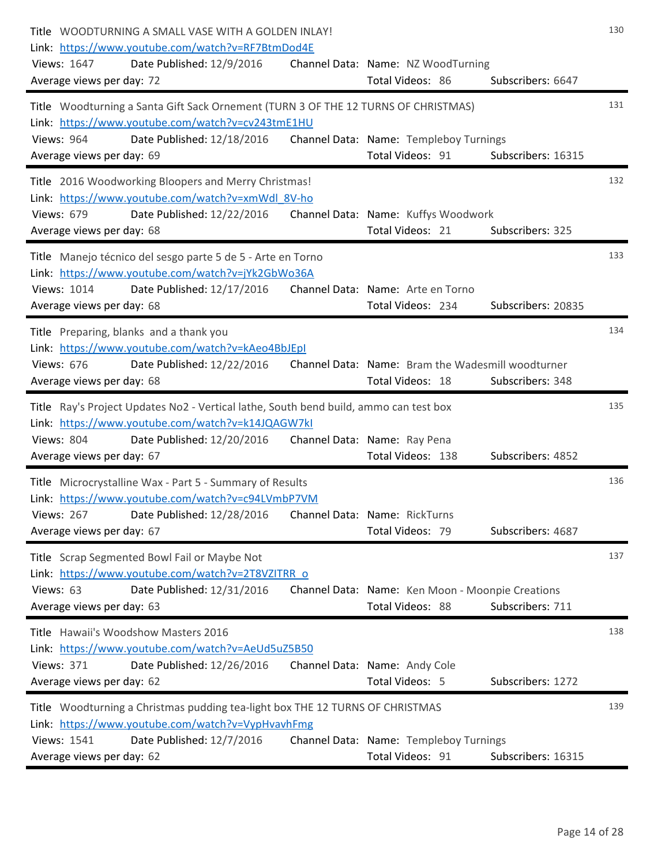| Title WOODTURNING A SMALL VASE WITH A GOLDEN INLAY!<br>Link: https://www.youtube.com/watch?v=RF7BtmDod4E<br>Views: 1647<br>Date Published: 12/9/2016<br>Average views per day: 72          | Channel Data: Name: NZ WoodTurning<br>Total Videos: 86                | Subscribers: 6647  | 130 |
|--------------------------------------------------------------------------------------------------------------------------------------------------------------------------------------------|-----------------------------------------------------------------------|--------------------|-----|
| Title Woodturning a Santa Gift Sack Ornement (TURN 3 OF THE 12 TURNS OF CHRISTMAS)<br>Link: https://www.youtube.com/watch?v=cv243tmE1HU<br>Date Published: 12/18/2016<br><b>Views: 964</b> | Channel Data: Name: Templeboy Turnings                                |                    | 131 |
| Average views per day: 69                                                                                                                                                                  | Total Videos: 91                                                      | Subscribers: 16315 |     |
| Title 2016 Woodworking Bloopers and Merry Christmas!<br>Link: https://www.youtube.com/watch?v=xmWdl 8V-ho<br><b>Views: 679</b><br>Date Published: 12/22/2016                               | Channel Data: Name: Kuffys Woodwork                                   |                    | 132 |
| Average views per day: 68                                                                                                                                                                  | Total Videos: 21                                                      | Subscribers: 325   |     |
| Title Manejo técnico del sesgo parte 5 de 5 - Arte en Torno<br>Link: https://www.youtube.com/watch?v=jYk2GbWo36A<br>Views: 1014<br>Date Published: 12/17/2016                              | Channel Data: Name: Arte en Torno                                     |                    | 133 |
| Average views per day: 68                                                                                                                                                                  | Total Videos: 234                                                     | Subscribers: 20835 |     |
| Title Preparing, blanks and a thank you<br>Link: https://www.youtube.com/watch?v=kAeo4BbJEpI                                                                                               |                                                                       |                    | 134 |
| <b>Views: 676</b><br>Date Published: 12/22/2016<br>Average views per day: 68                                                                                                               | Channel Data: Name: Bram the Wadesmill woodturner<br>Total Videos: 18 | Subscribers: 348   |     |
| Title Ray's Project Updates No2 - Vertical lathe, South bend build, ammo can test box<br>Link: https://www.youtube.com/watch?v=k14JQAGW7kI                                                 |                                                                       |                    | 135 |
| Date Published: 12/20/2016<br><b>Views: 804</b><br>Average views per day: 67                                                                                                               | Channel Data: Name: Ray Pena<br>Total Videos: 138                     | Subscribers: 4852  |     |
| Title Microcrystalline Wax - Part 5 - Summary of Results<br>Link: https://www.youtube.com/watch?v=c94LVmbP7VM                                                                              |                                                                       |                    | 136 |
| Date Published: 12/28/2016<br><b>Views: 267</b><br>Average views per day: 67                                                                                                               | Channel Data: Name: RickTurns<br>Total Videos: 79                     | Subscribers: 4687  |     |
| Title Scrap Segmented Bowl Fail or Maybe Not                                                                                                                                               |                                                                       |                    | 137 |
| Link: https://www.youtube.com/watch?v=2T8VZITRR o<br>Views: 63<br>Date Published: 12/31/2016<br>Average views per day: 63                                                                  | Channel Data: Name: Ken Moon - Moonpie Creations<br>Total Videos: 88  | Subscribers: 711   |     |
| Title Hawaii's Woodshow Masters 2016                                                                                                                                                       |                                                                       |                    | 138 |
| Link: https://www.youtube.com/watch?v=AeUd5uZ5B50                                                                                                                                          |                                                                       |                    |     |
| <b>Views: 371</b><br>Date Published: 12/26/2016<br>Average views per day: 62                                                                                                               | Channel Data: Name: Andy Cole<br>Total Videos: 5                      | Subscribers: 1272  |     |
| Title Woodturning a Christmas pudding tea-light box THE 12 TURNS OF CHRISTMAS<br>Link: https://www.youtube.com/watch?v=VypHvavhFmg                                                         |                                                                       |                    | 139 |
| Views: 1541<br>Date Published: 12/7/2016<br>Average views per day: 62                                                                                                                      | Channel Data: Name: Templeboy Turnings<br>Total Videos: 91            | Subscribers: 16315 |     |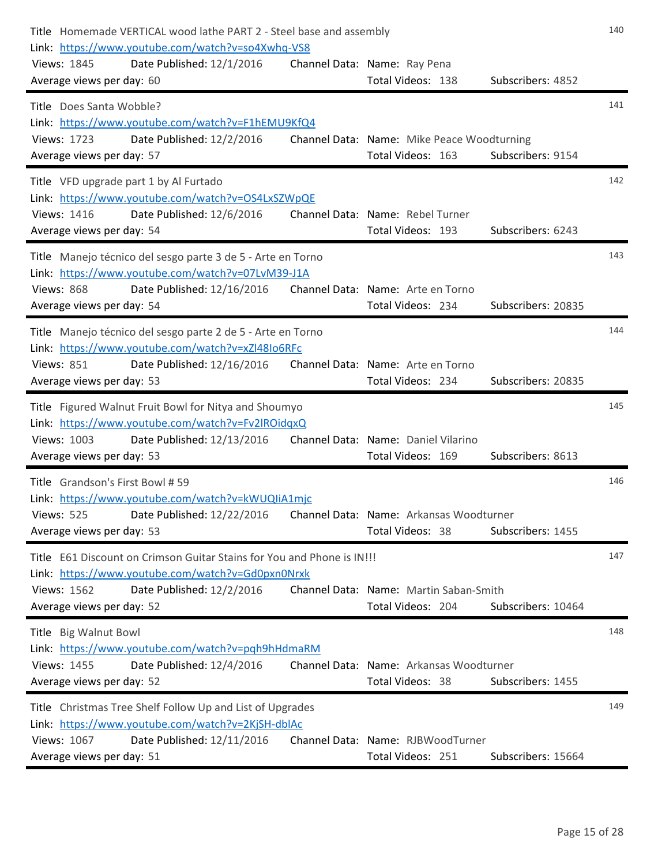| Title Homemade VERTICAL wood lathe PART 2 - Steel base and assembly<br>Link: https://www.youtube.com/watch?v=so4Xwhq-VS8 |                                                             |                    | 140 |
|--------------------------------------------------------------------------------------------------------------------------|-------------------------------------------------------------|--------------------|-----|
| Views: 1845<br>Date Published: 12/1/2016<br>Average views per day: 60                                                    | Channel Data: Name: Ray Pena<br>Total Videos: 138           | Subscribers: 4852  |     |
| Title Does Santa Wobble?                                                                                                 |                                                             |                    | 141 |
| Link: https://www.youtube.com/watch?v=F1hEMU9KfQ4<br>Date Published: 12/2/2016<br>Views: 1723                            | Channel Data: Name: Mike Peace Woodturning                  |                    |     |
| Average views per day: 57                                                                                                | Total Videos: 163                                           | Subscribers: 9154  |     |
| Title VFD upgrade part 1 by Al Furtado                                                                                   |                                                             |                    | 142 |
| Link: https://www.youtube.com/watch?v=OS4LxSZWpQE<br>Views: 1416<br>Date Published: 12/6/2016                            | Channel Data: Name: Rebel Turner                            |                    |     |
| Average views per day: 54                                                                                                | Total Videos: 193                                           | Subscribers: 6243  |     |
| Title Manejo técnico del sesgo parte 3 de 5 - Arte en Torno<br>Link: https://www.youtube.com/watch?v=07LvM39-J1A         |                                                             |                    | 143 |
| <b>Views: 868</b><br>Date Published: 12/16/2016                                                                          | Channel Data: Name: Arte en Torno                           |                    |     |
| Average views per day: 54                                                                                                | Total Videos: 234                                           | Subscribers: 20835 |     |
| Title Manejo técnico del sesgo parte 2 de 5 - Arte en Torno<br>Link: https://www.youtube.com/watch?v=xZl48Io6RFc         |                                                             |                    | 144 |
| <b>Views: 851</b><br>Date Published: 12/16/2016                                                                          | Channel Data: Name: Arte en Torno                           |                    |     |
| Average views per day: 53                                                                                                | Total Videos: 234                                           | Subscribers: 20835 |     |
| Title Figured Walnut Fruit Bowl for Nitya and Shoumyo                                                                    |                                                             |                    | 145 |
| Link: https://www.youtube.com/watch?v=Fv2lROidgxQ<br>Views: 1003<br>Date Published: 12/13/2016                           | Channel Data: Name: Daniel Vilarino                         |                    |     |
| Average views per day: 53                                                                                                | Total Videos: 169                                           | Subscribers: 8613  |     |
| Title Grandson's First Bowl # 59                                                                                         |                                                             |                    | 146 |
| Link: https://www.youtube.com/watch?v=kWUQIiA1mjc                                                                        |                                                             |                    |     |
| Views: 525 Date Published: 12/22/2016 Channel Data: Name: Arkansas Woodturner<br>Average views per day: 53               | Total Videos: 38                                            | Subscribers: 1455  |     |
| Title E61 Discount on Crimson Guitar Stains for You and Phone is IN!!!                                                   |                                                             |                    | 147 |
| Link: https://www.youtube.com/watch?v=Gd0pxn0Nrxk                                                                        |                                                             |                    |     |
| Views: 1562<br>Date Published: 12/2/2016<br>Average views per day: 52                                                    | Channel Data: Name: Martin Saban-Smith<br>Total Videos: 204 | Subscribers: 10464 |     |
|                                                                                                                          |                                                             |                    |     |
| Title Big Walnut Bowl<br>Link: https://www.youtube.com/watch?v=pqh9hHdmaRM                                               |                                                             |                    | 148 |
| Views: 1455<br>Date Published: 12/4/2016                                                                                 | Channel Data: Name: Arkansas Woodturner                     |                    |     |
| Average views per day: 52                                                                                                | Total Videos: 38                                            | Subscribers: 1455  |     |
| Title Christmas Tree Shelf Follow Up and List of Upgrades<br>Link: https://www.youtube.com/watch?v=2KjSH-dblAc           |                                                             |                    | 149 |
| Views: 1067<br>Date Published: 12/11/2016                                                                                | Channel Data: Name: RJBWoodTurner                           |                    |     |
| Average views per day: 51                                                                                                | Total Videos: 251                                           | Subscribers: 15664 |     |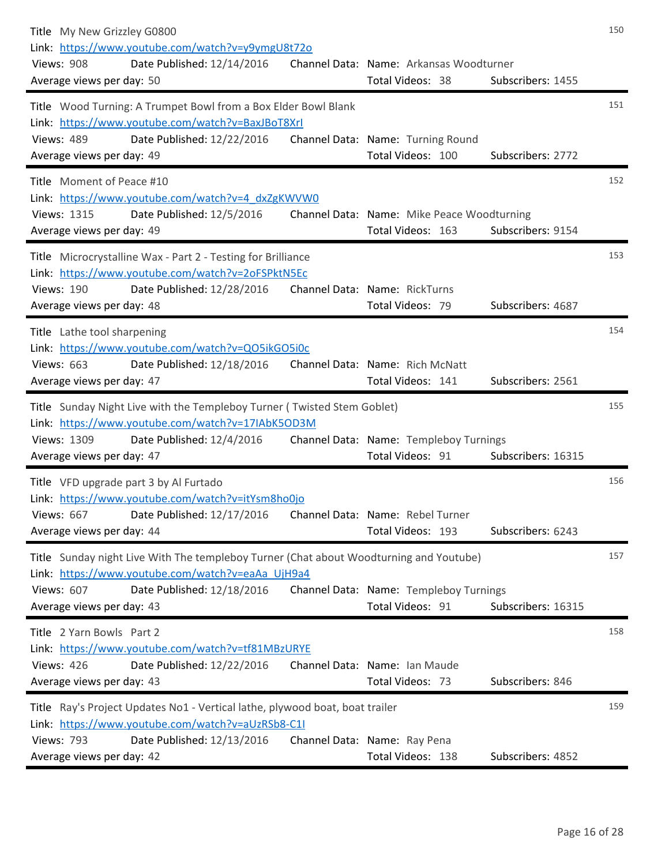| Title My New Grizzley G0800<br>Link: https://www.youtube.com/watch?v=y9ymgU8t72o<br>Date Published: 12/14/2016<br><b>Views: 908</b><br>Average views per day: 50                                                            | Channel Data: Name: Arkansas Woodturner<br>Total Videos: 38     | Subscribers: 1455  | 150 |
|-----------------------------------------------------------------------------------------------------------------------------------------------------------------------------------------------------------------------------|-----------------------------------------------------------------|--------------------|-----|
| Title Wood Turning: A Trumpet Bowl from a Box Elder Bowl Blank<br>Link: https://www.youtube.com/watch?v=BaxJBoT8XrI<br><b>Views: 489</b><br>Date Published: 12/22/2016<br>Average views per day: 49                         | Channel Data: Name: Turning Round<br>Total Videos: 100          | Subscribers: 2772  | 151 |
| Title Moment of Peace #10<br>Link: https://www.youtube.com/watch?v=4 dxZgKWVW0<br>Views: 1315<br>Date Published: 12/5/2016<br>Average views per day: 49                                                                     | Channel Data: Name: Mike Peace Woodturning<br>Total Videos: 163 | Subscribers: 9154  | 152 |
| Title Microcrystalline Wax - Part 2 - Testing for Brilliance<br>Link: https://www.youtube.com/watch?v=2oFSPktN5Ec<br><b>Views: 190</b><br>Date Published: 12/28/2016<br>Average views per day: 48                           | Channel Data: Name: RickTurns<br>Total Videos: 79               | Subscribers: 4687  | 153 |
| Title Lathe tool sharpening<br>Link: https://www.youtube.com/watch?v=QO5ikGO5i0c<br><b>Views: 663</b><br>Date Published: 12/18/2016<br>Average views per day: 47                                                            | Channel Data: Name: Rich McNatt<br>Total Videos: 141            | Subscribers: 2561  | 154 |
| Title Sunday Night Live with the Templeboy Turner (Twisted Stem Goblet)<br>Link: https://www.youtube.com/watch?v=17IAbK5OD3M<br>Views: 1309<br>Date Published: 12/4/2016<br>Average views per day: 47                       | Channel Data: Name: Templeboy Turnings<br>Total Videos: 91      | Subscribers: 16315 | 155 |
| Title VFD upgrade part 3 by Al Furtado<br>Link: https://www.youtube.com/watch?v=itYsm8ho0jo<br><b>Views: 667</b><br>Date Published: 12/17/2016<br>Average views per day: 44                                                 | Channel Data: Name: Rebel Turner<br>Total Videos: 193           | Subscribers: 6243  | 156 |
| Title Sunday night Live With The templeboy Turner (Chat about Woodturning and Youtube)<br>Link: https://www.youtube.com/watch?v=eaAa UjH9a4<br><b>Views: 607</b><br>Date Published: 12/18/2016<br>Average views per day: 43 | Channel Data: Name: Templeboy Turnings<br>Total Videos: 91      | Subscribers: 16315 | 157 |
| Title 2 Yarn Bowls Part 2<br>Link: https://www.youtube.com/watch?v=tf81MBzURYE<br><b>Views: 426</b><br>Date Published: 12/22/2016<br>Average views per day: 43                                                              | Channel Data: Name: Ian Maude<br>Total Videos: 73               | Subscribers: 846   | 158 |
| Title Ray's Project Updates No1 - Vertical lathe, plywood boat, boat trailer<br>Link: https://www.youtube.com/watch?v=aUzRSb8-C1I<br><b>Views: 793</b><br>Date Published: 12/13/2016<br>Average views per day: 42           | Channel Data: Name: Ray Pena<br>Total Videos: 138               | Subscribers: 4852  | 159 |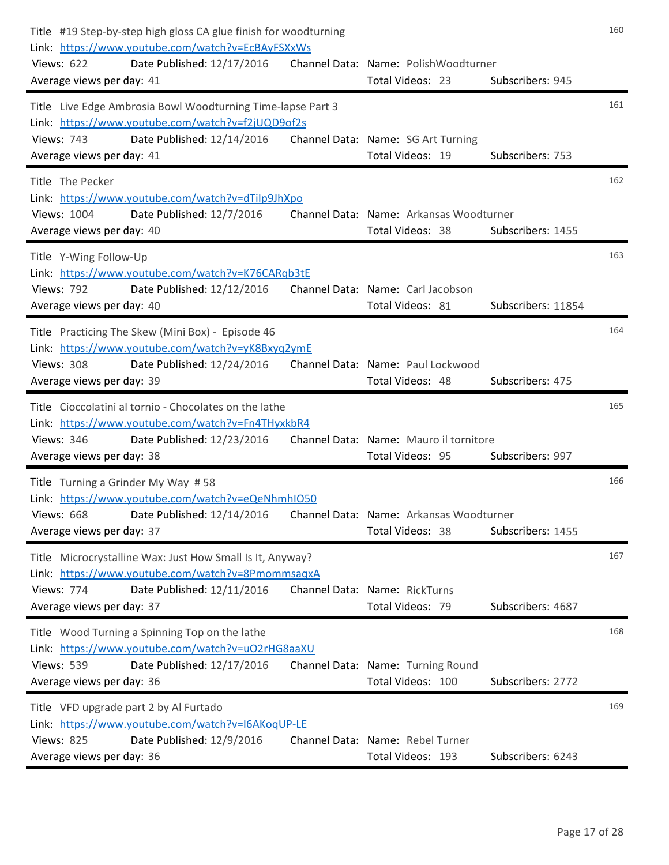| Title #19 Step-by-step high gloss CA glue finish for woodturning<br>Link: https://www.youtube.com/watch?v=EcBAyFSXxWs<br>Views: 622<br>Date Published: 12/17/2016<br>Average views per day: 41        | Channel Data: Name: PolishWoodturner<br>Total Videos: 23    | Subscribers: 945   | 160 |
|-------------------------------------------------------------------------------------------------------------------------------------------------------------------------------------------------------|-------------------------------------------------------------|--------------------|-----|
| Title Live Edge Ambrosia Bowl Woodturning Time-lapse Part 3<br>Link: https://www.youtube.com/watch?v=f2jUQD9of2s<br>Date Published: 12/14/2016<br><b>Views: 743</b><br>Average views per day: 41      | Channel Data: Name: SG Art Turning<br>Total Videos: 19      | Subscribers: 753   | 161 |
| Title The Pecker<br>Link: https://www.youtube.com/watch?v=dTiIp9JhXpo<br>Views: 1004<br>Date Published: 12/7/2016<br>Average views per day: 40                                                        | Channel Data: Name: Arkansas Woodturner<br>Total Videos: 38 | Subscribers: 1455  | 162 |
| Title Y-Wing Follow-Up<br>Link: https://www.youtube.com/watch?v=K76CARqb3tE<br><b>Views: 792</b><br>Date Published: 12/12/2016<br>Average views per day: 40                                           | Channel Data: Name: Carl Jacobson<br>Total Videos: 81       | Subscribers: 11854 | 163 |
| Title Practicing The Skew (Mini Box) - Episode 46<br>Link: https://www.youtube.com/watch?v=yK8Bxyq2ymE<br><b>Views: 308</b><br>Date Published: 12/24/2016<br>Average views per day: 39                | Channel Data: Name: Paul Lockwood<br>Total Videos: 48       | Subscribers: 475   | 164 |
| Title Cioccolatini al tornio - Chocolates on the lathe<br>Link: https://www.youtube.com/watch?v=Fn4THyxkbR4<br><b>Views: 346</b><br>Date Published: 12/23/2016<br>Average views per day: 38           | Channel Data: Name: Mauro il tornitore<br>Total Videos: 95  | Subscribers: 997   | 165 |
| Title Turning a Grinder My Way #58<br>Link: https://www.youtube.com/watch?v=eQeNhmhIO50<br>Views: 668 Date Published: 12/14/2016 Channel Data: Name: Arkansas Woodturner<br>Average views per day: 37 | Total Videos: 38                                            | Subscribers: 1455  | 166 |
| Title Microcrystalline Wax: Just How Small Is It, Anyway?<br>Link: https://www.youtube.com/watch?v=8PmommsagxA<br>Date Published: 12/11/2016<br><b>Views: 774</b><br>Average views per day: 37        | Channel Data: Name: RickTurns<br>Total Videos: 79           | Subscribers: 4687  | 167 |
| Title Wood Turning a Spinning Top on the lathe<br>Link: https://www.youtube.com/watch?v=uO2rHG8aaXU<br><b>Views: 539</b><br>Date Published: 12/17/2016<br>Average views per day: 36                   | Channel Data: Name: Turning Round<br>Total Videos: 100      | Subscribers: 2772  | 168 |
| Title VFD upgrade part 2 by Al Furtado<br>Link: https://www.youtube.com/watch?v=I6AKogUP-LE<br><b>Views: 825</b><br>Date Published: 12/9/2016<br>Average views per day: 36                            | Channel Data: Name: Rebel Turner<br>Total Videos: 193       | Subscribers: 6243  | 169 |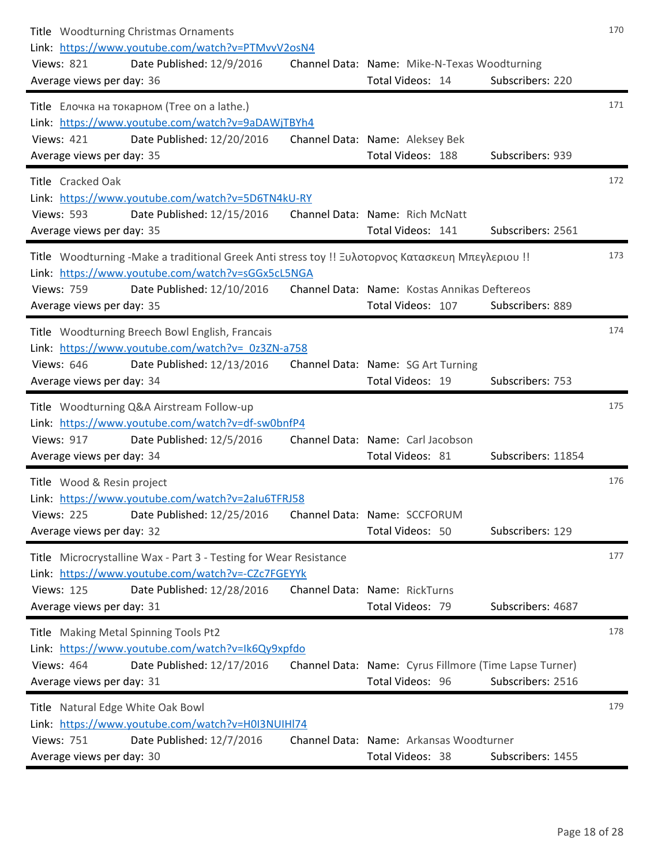| Title Woodturning Christmas Ornaments<br>Link: https://www.youtube.com/watch?v=PTMvvV2osN4<br><b>Views: 821</b><br>Date Published: 12/9/2016<br>Average views per day: 36                                                              | Channel Data: Name: Mike-N-Texas Woodturning<br>Total Videos: 14           | Subscribers: 220   | 170 |
|----------------------------------------------------------------------------------------------------------------------------------------------------------------------------------------------------------------------------------------|----------------------------------------------------------------------------|--------------------|-----|
| Title Елочка на токарном (Tree on a lathe.)<br>Link: https://www.youtube.com/watch?v=9aDAWjTBYh4<br>Date Published: 12/20/2016<br><b>Views: 421</b><br>Average views per day: 35                                                       | Channel Data: Name: Aleksey Bek<br>Total Videos: 188                       | Subscribers: 939   | 171 |
| Title Cracked Oak<br>Link: https://www.youtube.com/watch?v=5D6TN4kU-RY<br><b>Views: 593</b><br>Date Published: 12/15/2016<br>Average views per day: 35                                                                                 | Channel Data: Name: Rich McNatt<br>Total Videos: 141                       | Subscribers: 2561  | 172 |
| Title Woodturning -Make a traditional Greek Anti stress toy !! Ξυλοτορνος Κατασκευη Μπεγλεριου !!<br>Link: https://www.youtube.com/watch?v=sGGx5cL5NGA<br><b>Views: 759</b><br>Date Published: 12/10/2016<br>Average views per day: 35 | Channel Data: Name: Kostas Annikas Deftereos<br>Total Videos: 107          | Subscribers: 889   | 173 |
| Title Woodturning Breech Bowl English, Francais<br>Link: https://www.youtube.com/watch?v= 0z3ZN-a758<br><b>Views: 646</b><br>Date Published: 12/13/2016<br>Average views per day: 34                                                   | Channel Data: Name: SG Art Turning<br>Total Videos: 19                     | Subscribers: 753   | 174 |
| Title Woodturning Q&A Airstream Follow-up<br>Link: https://www.youtube.com/watch?v=df-sw0bnfP4<br><b>Views: 917</b><br>Date Published: 12/5/2016<br>Average views per day: 34                                                          | Channel Data: Name: Carl Jacobson<br>Total Videos: 81                      | Subscribers: 11854 | 175 |
| Title Wood & Resin project<br>Link: https://www.youtube.com/watch?v=2alu6TFRJ58<br>Views: 225 Date Published: 12/25/2016<br>Average views per day: 32                                                                                  | Channel Data: Name: SCCFORUM<br>Total Videos: 50                           | Subscribers: 129   | 176 |
| Title Microcrystalline Wax - Part 3 - Testing for Wear Resistance<br>Link: https://www.youtube.com/watch?v=-CZc7FGEYYk<br><b>Views: 125</b><br>Date Published: 12/28/2016<br>Average views per day: 31                                 | Channel Data: Name: RickTurns<br>Total Videos: 79                          | Subscribers: 4687  | 177 |
| Title Making Metal Spinning Tools Pt2<br>Link: https://www.youtube.com/watch?v=Ik6Qy9xpfdo<br><b>Views: 464</b><br>Date Published: 12/17/2016<br>Average views per day: 31                                                             | Channel Data: Name: Cyrus Fillmore (Time Lapse Turner)<br>Total Videos: 96 | Subscribers: 2516  | 178 |
| Title Natural Edge White Oak Bowl<br>Link: https://www.youtube.com/watch?v=H0I3NUIHI74<br><b>Views: 751</b><br>Date Published: 12/7/2016<br>Average views per day: 30                                                                  | Channel Data: Name: Arkansas Woodturner<br>Total Videos: 38                | Subscribers: 1455  | 179 |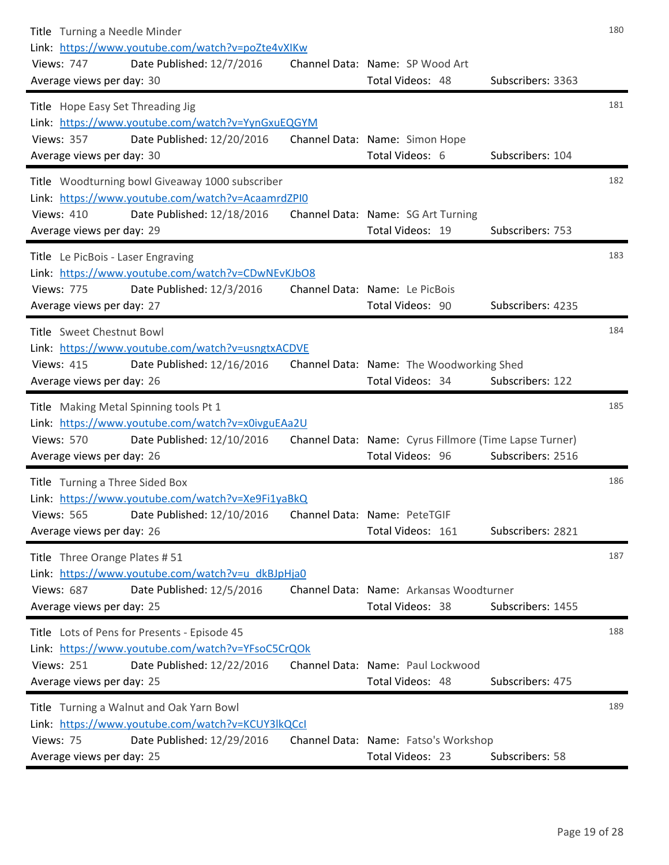| Title Turning a Needle Minder<br>Link: https://www.youtube.com/watch?v=poZte4vXIKw<br><b>Views: 747</b><br>Date Published: 12/7/2016<br>Average views per day: 30                       | Channel Data: Name: SP Wood Art<br>Total Videos: 48                        | Subscribers: 3363 | 180 |
|-----------------------------------------------------------------------------------------------------------------------------------------------------------------------------------------|----------------------------------------------------------------------------|-------------------|-----|
| Title Hope Easy Set Threading Jig<br>Link: https://www.youtube.com/watch?v=YynGxuEQGYM<br><b>Views: 357</b><br>Date Published: 12/20/2016<br>Average views per day: 30                  | Channel Data: Name: Simon Hope<br>Total Videos: 6                          | Subscribers: 104  | 181 |
| Title Woodturning bowl Giveaway 1000 subscriber<br>Link: https://www.youtube.com/watch?v=AcaamrdZPI0<br><b>Views: 410</b><br>Date Published: 12/18/2016<br>Average views per day: 29    | Channel Data: Name: SG Art Turning<br>Total Videos: 19                     | Subscribers: 753  | 182 |
| Title Le PicBois - Laser Engraving<br>Link: https://www.youtube.com/watch?v=CDwNEvKJbO8<br><b>Views: 775</b><br>Date Published: 12/3/2016<br>Average views per day: 27                  | Channel Data: Name: Le PicBois<br>Total Videos: 90                         | Subscribers: 4235 | 183 |
| Title Sweet Chestnut Bowl<br>Link: https://www.youtube.com/watch?v=usngtxACDVE<br><b>Views: 415</b><br>Date Published: 12/16/2016<br>Average views per day: 26                          | Channel Data: Name: The Woodworking Shed<br>Total Videos: 34               | Subscribers: 122  | 184 |
| Title Making Metal Spinning tools Pt 1<br>Link: https://www.youtube.com/watch?v=x0ivguEAa2U<br><b>Views: 570</b><br>Date Published: 12/10/2016<br>Average views per day: 26             | Channel Data: Name: Cyrus Fillmore (Time Lapse Turner)<br>Total Videos: 96 | Subscribers: 2516 | 185 |
| Title Turning a Three Sided Box<br>Link: https://www.youtube.com/watch?v=Xe9Fi1yaBkQ<br>Views: 565 Date Published: 12/10/2016 Channel Data: Name: PeteTGIF<br>Average views per day: 26 | Total Videos: 161                                                          | Subscribers: 2821 | 186 |
| Title Three Orange Plates #51<br>Link: https://www.youtube.com/watch?v=u dkBJpHja0<br><b>Views: 687</b><br>Date Published: 12/5/2016<br>Average views per day: 25                       | Channel Data: Name: Arkansas Woodturner<br>Total Videos: 38                | Subscribers: 1455 | 187 |
| Title Lots of Pens for Presents - Episode 45<br>Link: https://www.youtube.com/watch?v=YFsoC5CrQOk<br><b>Views: 251</b><br>Date Published: 12/22/2016<br>Average views per day: 25       | Channel Data: Name: Paul Lockwood<br>Total Videos: 48                      | Subscribers: 475  | 188 |
| Title Turning a Walnut and Oak Yarn Bowl<br>Link: https://www.youtube.com/watch?v=KCUY3lkQCcl<br>Views: 75<br>Date Published: 12/29/2016<br>Average views per day: 25                   | Channel Data: Name: Fatso's Workshop<br>Total Videos: 23                   | Subscribers: 58   | 189 |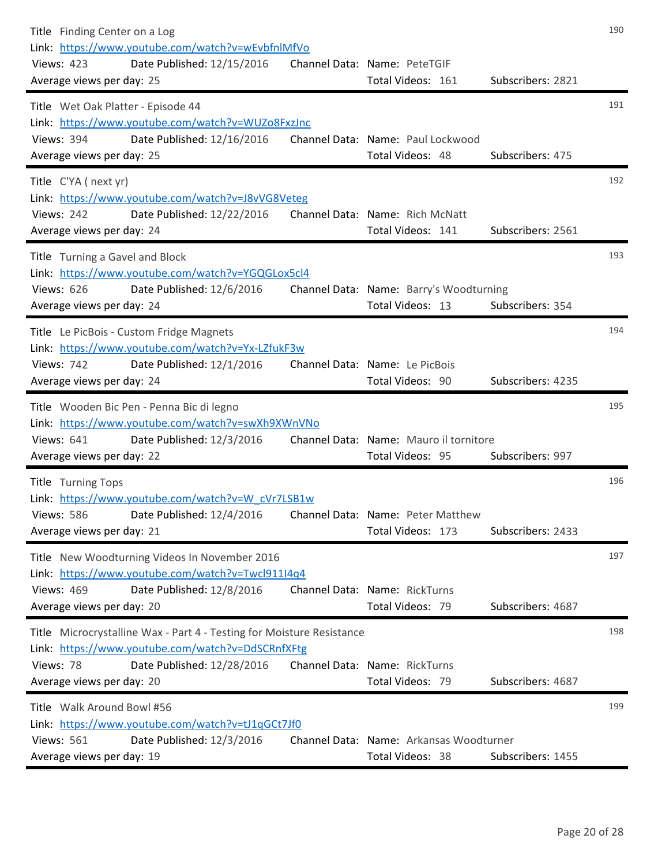| Title Finding Center on a Log<br>Link: https://www.youtube.com/watch?v=wEvbfnlMfVo<br><b>Views: 423</b><br>Date Published: 12/15/2016<br>Average views per day: 25                                 | Channel Data: Name: PeteTGIF<br>Total Videos: 161           | Subscribers: 2821 | 190 |
|----------------------------------------------------------------------------------------------------------------------------------------------------------------------------------------------------|-------------------------------------------------------------|-------------------|-----|
| Title Wet Oak Platter - Episode 44<br>Link: https://www.youtube.com/watch?v=WUZo8FxzJnc<br>Date Published: 12/16/2016<br><b>Views: 394</b><br>Average views per day: 25                            | Channel Data: Name: Paul Lockwood<br>Total Videos: 48       | Subscribers: 475  | 191 |
| Title C'YA (next yr)<br>Link: https://www.youtube.com/watch?v=J8vVG8Veteg<br><b>Views: 242</b><br>Date Published: 12/22/2016<br>Average views per day: 24                                          | Channel Data: Name: Rich McNatt<br>Total Videos: 141        | Subscribers: 2561 | 192 |
| Title Turning a Gavel and Block<br>Link: https://www.youtube.com/watch?v=YGQGLox5cl4<br><b>Views: 626</b><br>Date Published: 12/6/2016<br>Average views per day: 24                                | Channel Data: Name: Barry's Woodturning<br>Total Videos: 13 | Subscribers: 354  | 193 |
| Title Le PicBois - Custom Fridge Magnets<br>Link: https://www.youtube.com/watch?v=Yx-LZfukF3w<br><b>Views: 742</b><br>Date Published: 12/1/2016<br>Average views per day: 24                       | Channel Data: Name: Le PicBois<br>Total Videos: 90          | Subscribers: 4235 | 194 |
| Title Wooden Bic Pen - Penna Bic di legno<br>Link: https://www.youtube.com/watch?v=swXh9XWnVNo<br><b>Views: 641</b><br>Date Published: 12/3/2016<br>Average views per day: 22                      | Channel Data: Name: Mauro il tornitore<br>Total Videos: 95  | Subscribers: 997  | 195 |
| Title Turning Tops<br>Link: https://www.youtube.com/watch?v=W cVr7LSB1w<br>Date Published: 12/4/2016<br><b>Views: 586</b><br>Average views per day: 21                                             | Channel Data: Name: Peter Matthew<br>Total Videos: 173      | Subscribers: 2433 | 196 |
| Title New Woodturning Videos In November 2016<br>Link: https://www.youtube.com/watch?v=Twcl911I4q4<br><b>Views: 469</b><br>Date Published: 12/8/2016<br>Average views per day: 20                  | Channel Data: Name: RickTurns<br>Total Videos: 79           | Subscribers: 4687 | 197 |
| Title Microcrystalline Wax - Part 4 - Testing for Moisture Resistance<br>Link: https://www.youtube.com/watch?v=DdSCRnfXFtg<br>Views: 78<br>Date Published: 12/28/2016<br>Average views per day: 20 | Channel Data: Name: RickTurns<br>Total Videos: 79           | Subscribers: 4687 | 198 |
| Title Walk Around Bowl #56<br>Link: https://www.youtube.com/watch?v=tJ1qGCt7Jf0<br><b>Views: 561</b><br>Date Published: 12/3/2016<br>Average views per day: 19                                     | Channel Data: Name: Arkansas Woodturner<br>Total Videos: 38 | Subscribers: 1455 | 199 |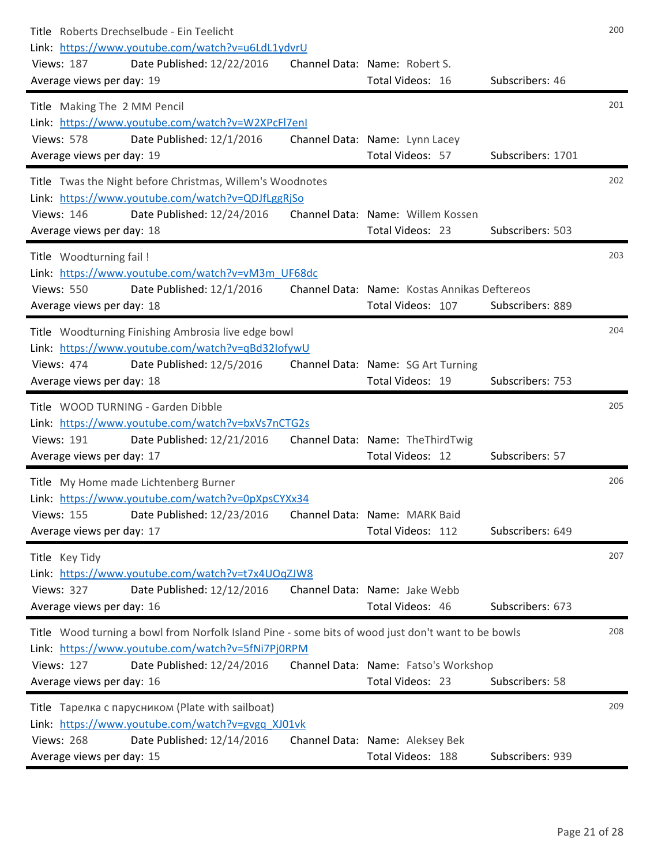| Title Roberts Drechselbude - Ein Teelicht<br>Link: https://www.youtube.com/watch?v=u6LdL1ydvrU<br><b>Views: 187</b><br>Date Published: 12/22/2016<br>Average views per day: 19                 | Channel Data: Name: Robert S.<br>Total Videos: 16                 | Subscribers: 46   | 200 |
|------------------------------------------------------------------------------------------------------------------------------------------------------------------------------------------------|-------------------------------------------------------------------|-------------------|-----|
| Title Making The 2 MM Pencil<br>Link: https://www.youtube.com/watch?v=W2XPcFl7enl<br><b>Views: 578</b><br>Date Published: 12/1/2016<br>Average views per day: 19                               | Channel Data: Name: Lynn Lacey<br>Total Videos: 57                | Subscribers: 1701 | 201 |
| Title Twas the Night before Christmas, Willem's Woodnotes                                                                                                                                      |                                                                   |                   | 202 |
| Link: https://www.youtube.com/watch?v=QDJfLggRjSo<br><b>Views: 146</b><br>Date Published: 12/24/2016<br>Average views per day: 18                                                              | Channel Data: Name: Willem Kossen<br>Total Videos: 23             | Subscribers: 503  |     |
| Title Woodturning fail !<br>Link: https://www.youtube.com/watch?v=vM3m UF68dc                                                                                                                  |                                                                   |                   | 203 |
| <b>Views: 550</b><br>Date Published: 12/1/2016<br>Average views per day: 18                                                                                                                    | Channel Data: Name: Kostas Annikas Deftereos<br>Total Videos: 107 | Subscribers: 889  |     |
| Title Woodturning Finishing Ambrosia live edge bowl<br>Link: https://www.youtube.com/watch?v=qBd32IofywU<br><b>Views: 474</b><br>Date Published: 12/5/2016<br>Average views per day: 18        | Channel Data: Name: SG Art Turning<br>Total Videos: 19            | Subscribers: 753  | 204 |
| Title WOOD TURNING - Garden Dibble                                                                                                                                                             |                                                                   |                   | 205 |
| Link: https://www.youtube.com/watch?v=bxVs7nCTG2s<br><b>Views: 191</b><br>Date Published: 12/21/2016<br>Average views per day: 17                                                              | Channel Data: Name: The Third Twig<br>Total Videos: 12            | Subscribers: 57   |     |
| Title My Home made Lichtenberg Burner<br>Link: https://www.youtube.com/watch?v=0pXpsCYXx34<br>Views: 155 Date Published: 12/23/2016 Channel Data: Name: MARK Baid<br>Average views per day: 17 | Total Videos: 112                                                 | Subscribers: 649  | 206 |
| Title Key Tidy                                                                                                                                                                                 |                                                                   |                   | 207 |
| Link: https://www.youtube.com/watch?v=t7x4UOqZJW8<br>Date Published: 12/12/2016<br><b>Views: 327</b><br>Average views per day: 16                                                              | Channel Data: Name: Jake Webb<br>Total Videos: 46                 | Subscribers: 673  |     |
| Title Wood turning a bowl from Norfolk Island Pine - some bits of wood just don't want to be bowls<br>Link: https://www.youtube.com/watch?v=5fNi7Pj0RPM                                        |                                                                   |                   | 208 |
| <b>Views: 127</b><br>Date Published: 12/24/2016<br>Average views per day: 16                                                                                                                   | Channel Data: Name: Fatso's Workshop<br>Total Videos: 23          | Subscribers: 58   |     |
| Title Тарелка с парусником (Plate with sailboat)                                                                                                                                               |                                                                   |                   | 209 |
| Link: https://www.youtube.com/watch?v=gvgq XJ01vk<br><b>Views: 268</b><br>Date Published: 12/14/2016<br>Average views per day: 15                                                              | Channel Data: Name: Aleksey Bek<br>Total Videos: 188              | Subscribers: 939  |     |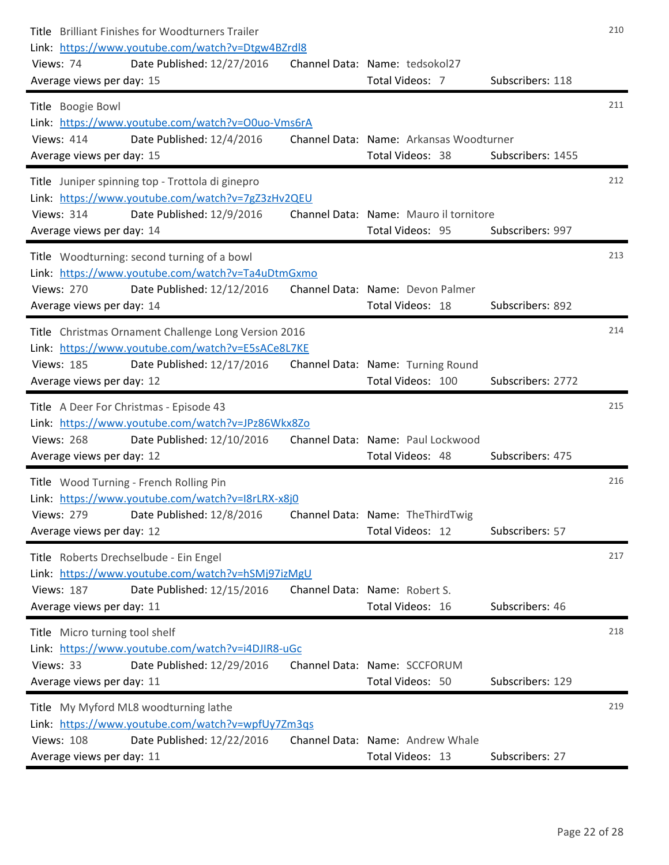| Title Brilliant Finishes for Woodturners Trailer<br>Link: https://www.youtube.com/watch?v=Dtgw4BZrdl8<br>Date Published: 12/27/2016<br>Views: 74<br>Average views per day: 15             | Channel Data: Name: tedsokol27<br>Total Videos: 7           | Subscribers: 118  | 210 |
|-------------------------------------------------------------------------------------------------------------------------------------------------------------------------------------------|-------------------------------------------------------------|-------------------|-----|
| Title Boogie Bowl<br>Link: https://www.youtube.com/watch?v=O0uo-Vms6rA<br>Date Published: 12/4/2016<br><b>Views: 414</b><br>Average views per day: 15                                     | Channel Data: Name: Arkansas Woodturner<br>Total Videos: 38 | Subscribers: 1455 | 211 |
| Title Juniper spinning top - Trottola di ginepro<br>Link: https://www.youtube.com/watch?v=7gZ3zHv2QEU<br><b>Views: 314</b><br>Date Published: 12/9/2016<br>Average views per day: 14      | Channel Data: Name: Mauro il tornitore<br>Total Videos: 95  | Subscribers: 997  | 212 |
| Title Woodturning: second turning of a bowl<br>Link: https://www.youtube.com/watch?v=Ta4uDtmGxmo<br><b>Views: 270</b><br>Date Published: 12/12/2016<br>Average views per day: 14          | Channel Data: Name: Devon Palmer<br>Total Videos: 18        | Subscribers: 892  | 213 |
| Title Christmas Ornament Challenge Long Version 2016<br>Link: https://www.youtube.com/watch?v=E5sACe8L7KE<br><b>Views: 185</b><br>Date Published: 12/17/2016<br>Average views per day: 12 | Channel Data: Name: Turning Round<br>Total Videos: 100      | Subscribers: 2772 | 214 |
| Title A Deer For Christmas - Episode 43<br>Link: https://www.youtube.com/watch?v=JPz86Wkx8Zo<br><b>Views: 268</b><br>Date Published: 12/10/2016<br>Average views per day: 12              | Channel Data: Name: Paul Lockwood<br>Total Videos: 48       | Subscribers: 475  | 215 |
| Title Wood Turning - French Rolling Pin<br>Link: https://www.youtube.com/watch?v=I8rLRX-x8j0<br>Date Published: 12/8/2016<br><b>Views: 279</b><br>Average views per day: 12               | Channel Data: Name: TheThirdTwig<br>Total Videos: 12        | Subscribers: 57   | 216 |
| Title Roberts Drechselbude - Ein Engel<br>Link: https://www.youtube.com/watch?v=hSMj97izMgU<br><b>Views: 187</b><br>Date Published: 12/15/2016<br>Average views per day: 11               | Channel Data: Name: Robert S.<br>Total Videos: 16           | Subscribers: 46   | 217 |
| Title Micro turning tool shelf<br>Link: https://www.youtube.com/watch?v=i4DJIR8-uGc<br>Views: 33<br>Date Published: 12/29/2016<br>Average views per day: 11                               | Channel Data: Name: SCCFORUM<br>Total Videos: 50            | Subscribers: 129  | 218 |
| Title My Myford ML8 woodturning lathe<br>Link: https://www.youtube.com/watch?v=wpfUy7Zm3qs<br><b>Views: 108</b><br>Date Published: 12/22/2016<br>Average views per day: 11                | Channel Data: Name: Andrew Whale<br>Total Videos: 13        | Subscribers: 27   | 219 |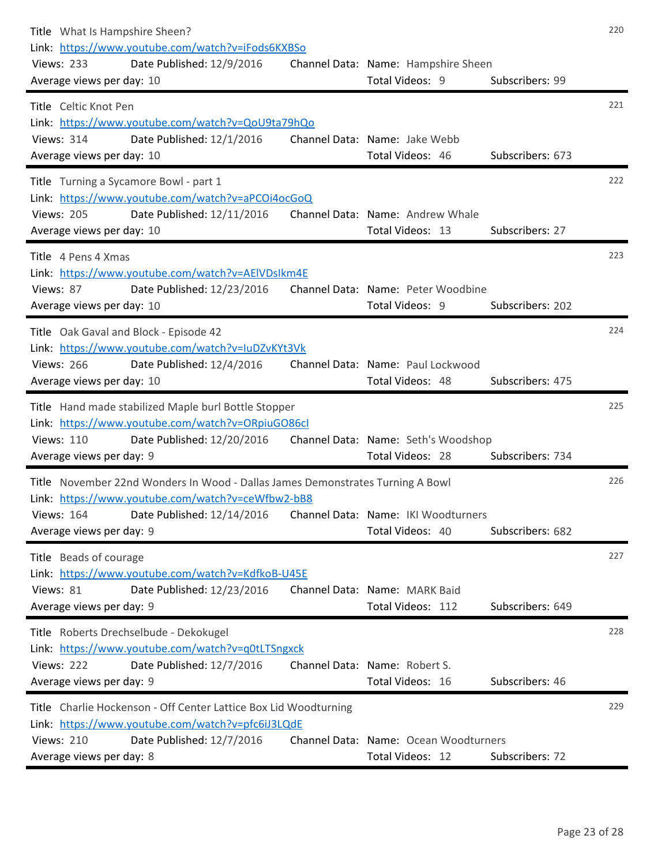| Title What Is Hampshire Sheen?<br>Link: https://www.youtube.com/watch?v=iFods6KXBSo<br><b>Views: 233</b><br>Date Published: 12/9/2016<br>Average views per day: 10 | Channel Data: Name: Hampshire Sheen<br>Total Videos: 9  | Subscribers: 99  | 220 |
|--------------------------------------------------------------------------------------------------------------------------------------------------------------------|---------------------------------------------------------|------------------|-----|
| Title Celtic Knot Pen                                                                                                                                              |                                                         |                  | 221 |
| Link: https://www.youtube.com/watch?v=QoU9ta79hQo<br><b>Views: 314</b><br>Date Published: 12/1/2016                                                                | Channel Data: Name: Jake Webb                           |                  |     |
| Average views per day: 10                                                                                                                                          | Total Videos: 46                                        | Subscribers: 673 |     |
| Title Turning a Sycamore Bowl - part 1<br>Link: https://www.youtube.com/watch?v=aPCOi4ocGoQ                                                                        |                                                         |                  | 222 |
| <b>Views: 205</b><br>Date Published: 12/11/2016<br>Average views per day: 10                                                                                       | Channel Data: Name: Andrew Whale<br>Total Videos: 13    | Subscribers: 27  |     |
| Title 4 Pens 4 Xmas<br>Link: https://www.youtube.com/watch?v=AEIVDsIkm4E                                                                                           |                                                         |                  | 223 |
| Views: 87<br>Date Published: 12/23/2016<br>Average views per day: 10                                                                                               | Channel Data: Name: Peter Woodbine<br>Total Videos: 9   | Subscribers: 202 |     |
| Title Oak Gaval and Block - Episode 42                                                                                                                             |                                                         |                  | 224 |
| Link: https://www.youtube.com/watch?v=IuDZvKYt3Vk<br><b>Views: 266</b><br>Date Published: 12/4/2016<br>Average views per day: 10                                   | Channel Data: Name: Paul Lockwood<br>Total Videos: 48   | Subscribers: 475 |     |
| Title Hand made stabilized Maple burl Bottle Stopper                                                                                                               |                                                         |                  | 225 |
| Link: https://www.youtube.com/watch?v=ORpiuGO86cl<br><b>Views: 110</b><br>Date Published: 12/20/2016<br>Average views per day: 9                                   | Channel Data: Name: Seth's Woodshop<br>Total Videos: 28 | Subscribers: 734 |     |
| Title November 22nd Wonders In Wood - Dallas James Demonstrates Turning A Bowl<br>Link: https://www.youtube.com/watch?v=ceWfbw2-bB8                                |                                                         |                  | 226 |
| Views: 164 Date Published: 12/14/2016 Channel Data: Name: IKI Woodturners<br>Average views per day: 9                                                              | Total Videos: 40                                        | Subscribers: 682 |     |
| Title Beads of courage                                                                                                                                             |                                                         |                  | 227 |
| Link: https://www.youtube.com/watch?v=KdfkoB-U45E<br>Views: 81<br>Date Published: 12/23/2016                                                                       | Channel Data: Name: MARK Baid                           |                  |     |
| Average views per day: 9                                                                                                                                           | Total Videos: 112                                       | Subscribers: 649 |     |
| Title Roberts Drechselbude - Dekokugel                                                                                                                             |                                                         |                  | 228 |
| Link: https://www.youtube.com/watch?v=q0tLTSngxck<br><b>Views: 222</b><br>Date Published: 12/7/2016                                                                | Channel Data: Name: Robert S.                           |                  |     |
| Average views per day: 9                                                                                                                                           | Total Videos: 16                                        | Subscribers: 46  |     |
| Title Charlie Hockenson - Off Center Lattice Box Lid Woodturning<br>Link: https://www.youtube.com/watch?v=pfc6iJ3LQdE                                              |                                                         |                  | 229 |
| <b>Views: 210</b><br>Date Published: 12/7/2016                                                                                                                     | Channel Data: Name: Ocean Woodturners                   |                  |     |
| Average views per day: 8                                                                                                                                           | Total Videos: 12                                        | Subscribers: 72  |     |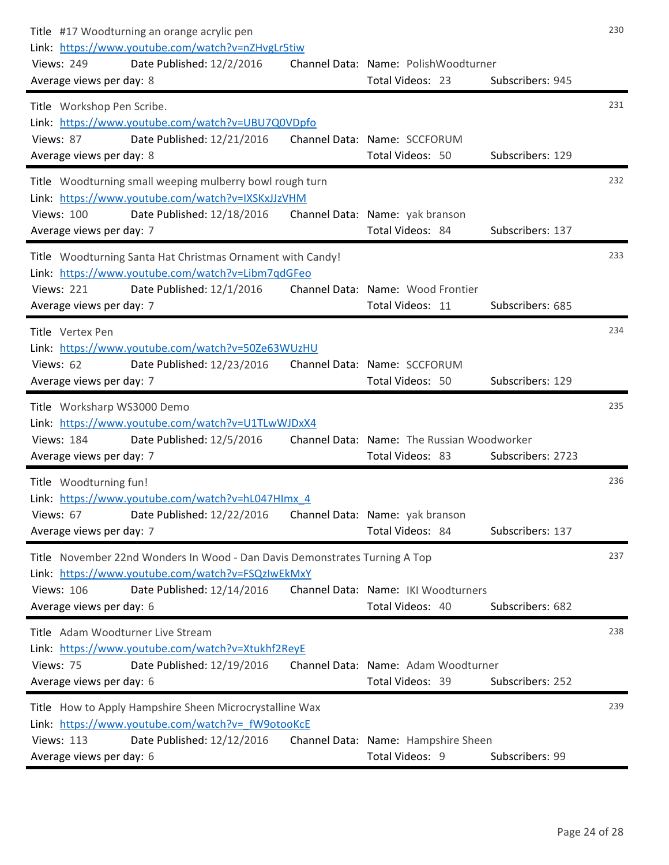| Title #17 Woodturning an orange acrylic pen<br>Link: https://www.youtube.com/watch?v=nZHvgLr5tiw<br><b>Views: 249</b><br>Date Published: 12/2/2016<br>Average views per day: 8 | Channel Data: Name: PolishWoodturner<br>Total Videos: 23       | Subscribers: 945  | 230 |
|--------------------------------------------------------------------------------------------------------------------------------------------------------------------------------|----------------------------------------------------------------|-------------------|-----|
| Title Workshop Pen Scribe.                                                                                                                                                     |                                                                |                   | 231 |
| Link: https://www.youtube.com/watch?v=UBU7Q0VDpfo<br>Date Published: 12/21/2016<br>Views: 87                                                                                   | Channel Data: Name: SCCFORUM                                   |                   |     |
| Average views per day: 8                                                                                                                                                       | Total Videos: 50                                               | Subscribers: 129  |     |
| Title Woodturning small weeping mulberry bowl rough turn<br>Link: https://www.youtube.com/watch?v=IXSKxJJzVHM                                                                  |                                                                |                   | 232 |
| <b>Views: 100</b><br>Date Published: 12/18/2016<br>Average views per day: 7                                                                                                    | Channel Data: Name: yak branson<br>Total Videos: 84            | Subscribers: 137  |     |
| Title Woodturning Santa Hat Christmas Ornament with Candy!<br>Link: https://www.youtube.com/watch?v=Libm7qdGFeo                                                                |                                                                |                   | 233 |
| <b>Views: 221</b><br>Date Published: 12/1/2016<br>Average views per day: 7                                                                                                     | Channel Data: Name: Wood Frontier<br>Total Videos: 11          | Subscribers: 685  |     |
| Title Vertex Pen<br>Link: https://www.youtube.com/watch?v=50Ze63WUzHU                                                                                                          |                                                                |                   | 234 |
| Views: 62<br>Date Published: 12/23/2016<br>Average views per day: 7                                                                                                            | Channel Data: Name: SCCFORUM<br>Total Videos: 50               | Subscribers: 129  |     |
| Title Worksharp WS3000 Demo                                                                                                                                                    |                                                                |                   | 235 |
| Link: https://www.youtube.com/watch?v=U1TLwWJDxX4                                                                                                                              |                                                                |                   |     |
| <b>Views: 184</b><br>Date Published: 12/5/2016<br>Average views per day: 7                                                                                                     | Channel Data: Name: The Russian Woodworker<br>Total Videos: 83 | Subscribers: 2723 |     |
| Title Woodturning fun!                                                                                                                                                         |                                                                |                   | 236 |
| Link: https://www.youtube.com/watch?v=hL047Hlmx 4<br>Views: 67 Date Published: 12/22/2016 Channel Data: Name: yak branson                                                      |                                                                |                   |     |
| Average views per day: 7                                                                                                                                                       | Total Videos: 84                                               | Subscribers: 137  |     |
| Title November 22nd Wonders In Wood - Dan Davis Demonstrates Turning A Top                                                                                                     |                                                                |                   | 237 |
| Link: https://www.youtube.com/watch?v=FSQzIwEkMxY<br><b>Views: 106</b><br>Date Published: 12/14/2016                                                                           | Channel Data: Name: IKI Woodturners                            |                   |     |
| Average views per day: 6                                                                                                                                                       | Total Videos: 40                                               | Subscribers: 682  |     |
| Title Adam Woodturner Live Stream                                                                                                                                              |                                                                |                   | 238 |
| Link: https://www.youtube.com/watch?v=Xtukhf2ReyE<br>Views: 75<br>Date Published: 12/19/2016                                                                                   | Channel Data: Name: Adam Woodturner                            |                   |     |
| Average views per day: 6                                                                                                                                                       | Total Videos: 39                                               | Subscribers: 252  |     |
| Title How to Apply Hampshire Sheen Microcrystalline Wax<br>Link: https://www.youtube.com/watch?v= fW9otooKcE                                                                   |                                                                |                   | 239 |
| <b>Views: 113</b><br>Date Published: 12/12/2016                                                                                                                                | Channel Data: Name: Hampshire Sheen                            |                   |     |
| Average views per day: 6                                                                                                                                                       | Total Videos: 9                                                | Subscribers: 99   |     |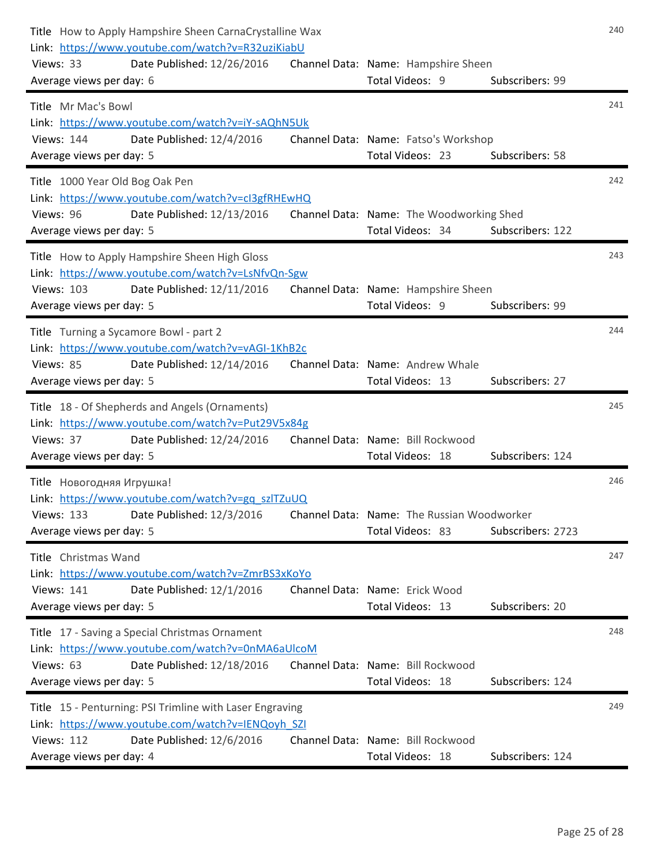| Title How to Apply Hampshire Sheen CarnaCrystalline Wax<br>Link: https://www.youtube.com/watch?v=R32uziKiabU |                                                          |                   |     |
|--------------------------------------------------------------------------------------------------------------|----------------------------------------------------------|-------------------|-----|
| Date Published: 12/26/2016<br>Views: 33<br>Average views per day: 6                                          | Channel Data: Name: Hampshire Sheen<br>Total Videos: 9   | Subscribers: 99   |     |
| Title Mr Mac's Bowl                                                                                          |                                                          |                   | 241 |
| Link: https://www.youtube.com/watch?v=iY-sAQhN5Uk                                                            |                                                          |                   |     |
| Date Published: 12/4/2016<br><b>Views: 144</b><br>Average views per day: 5                                   | Channel Data: Name: Fatso's Workshop<br>Total Videos: 23 | Subscribers: 58   |     |
| Title 1000 Year Old Bog Oak Pen                                                                              |                                                          |                   | 242 |
| Link: https://www.youtube.com/watch?v=cl3gfRHEwHQ                                                            |                                                          |                   |     |
| Views: 96<br>Date Published: 12/13/2016                                                                      | Channel Data: Name: The Woodworking Shed                 |                   |     |
| Average views per day: 5                                                                                     | Total Videos: 34                                         | Subscribers: 122  |     |
| Title How to Apply Hampshire Sheen High Gloss<br>Link: https://www.youtube.com/watch?v=LsNfvQn-Sgw           |                                                          |                   | 243 |
| <b>Views: 103</b><br>Date Published: 12/11/2016                                                              | Channel Data: Name: Hampshire Sheen                      |                   |     |
| Average views per day: 5                                                                                     | Total Videos: 9                                          | Subscribers: 99   |     |
| Title Turning a Sycamore Bowl - part 2                                                                       |                                                          |                   | 244 |
| Link: https://www.youtube.com/watch?v=vAGI-1KhB2c                                                            |                                                          |                   |     |
| Views: 85<br>Date Published: 12/14/2016<br>Average views per day: 5                                          | Channel Data: Name: Andrew Whale<br>Total Videos: 13     | Subscribers: 27   |     |
| Title 18 - Of Shepherds and Angels (Ornaments)                                                               |                                                          |                   | 245 |
| Link: https://www.youtube.com/watch?v=Put29V5x84g                                                            |                                                          |                   |     |
| Views: 37<br>Date Published: 12/24/2016                                                                      | Channel Data: Name: Bill Rockwood                        |                   |     |
| Average views per day: 5                                                                                     | Total Videos: 18                                         | Subscribers: 124  |     |
| Title Новогодняя Игрушка!<br>Link: https://www.youtube.com/watch?v=gq_szlTZuUQ                               |                                                          |                   | 246 |
| Views: 133 Date Published: 12/3/2016 Channel Data: Name: The Russian Woodworker                              |                                                          |                   |     |
| Average views per day: 5                                                                                     | Total Videos: 83                                         | Subscribers: 2723 |     |
| Title Christmas Wand                                                                                         |                                                          |                   | 247 |
| Link: https://www.youtube.com/watch?v=ZmrBS3xKoYo                                                            |                                                          |                   |     |
| <b>Views: 141</b><br>Date Published: 12/1/2016<br>Average views per day: 5                                   | Channel Data: Name: Erick Wood<br>Total Videos: 13       | Subscribers: 20   |     |
| Title 17 - Saving a Special Christmas Ornament                                                               |                                                          |                   | 248 |
| Link: https://www.youtube.com/watch?v=0nMA6aUlcoM                                                            |                                                          |                   |     |
| Views: 63<br>Date Published: 12/18/2016                                                                      | Channel Data: Name: Bill Rockwood                        |                   |     |
| Average views per day: 5                                                                                     | Total Videos: 18                                         | Subscribers: 124  |     |
| Title 15 - Penturning: PSI Trimline with Laser Engraving                                                     |                                                          |                   | 249 |
| Link: https://www.youtube.com/watch?v=IENQoyh SZI<br><b>Views: 112</b><br>Date Published: 12/6/2016          | Channel Data: Name: Bill Rockwood                        |                   |     |
| Average views per day: 4                                                                                     | Total Videos: 18                                         | Subscribers: 124  |     |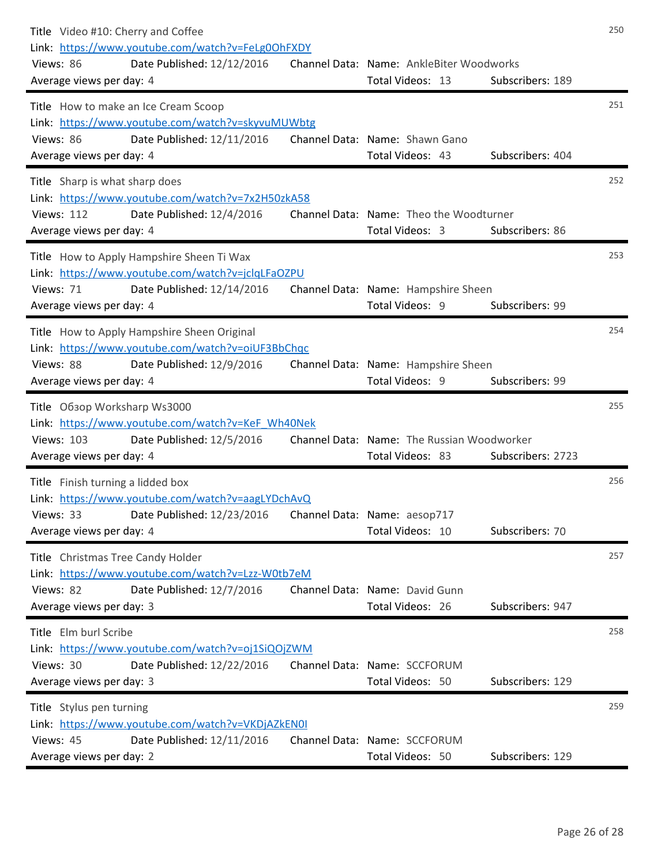| Title Video #10: Cherry and Coffee<br>Link: https://www.youtube.com/watch?v=FeLg0OhFXDY<br>Views: 86<br>Date Published: 12/12/2016<br>Average views per day: 4         | Channel Data: Name: AnkleBiter Woodworks<br>Total Videos: 13   | Subscribers: 189  | 250 |
|------------------------------------------------------------------------------------------------------------------------------------------------------------------------|----------------------------------------------------------------|-------------------|-----|
| Title How to make an Ice Cream Scoop<br>Link: https://www.youtube.com/watch?v=skyvuMUWbtg<br>Date Published: 12/11/2016<br>Views: 86<br>Average views per day: 4       | Channel Data: Name: Shawn Gano<br>Total Videos: 43             | Subscribers: 404  | 251 |
| Title Sharp is what sharp does<br>Link: https://www.youtube.com/watch?v=7x2H50zkA58<br><b>Views: 112</b><br>Date Published: 12/4/2016<br>Average views per day: 4      | Channel Data: Name: Theo the Woodturner<br>Total Videos: 3     | Subscribers: 86   | 252 |
| Title How to Apply Hampshire Sheen Ti Wax<br>Link: https://www.youtube.com/watch?v=jclqLFaOZPU<br>Date Published: 12/14/2016<br>Views: 71<br>Average views per day: 4  | Channel Data: Name: Hampshire Sheen<br>Total Videos: 9         | Subscribers: 99   | 253 |
| Title How to Apply Hampshire Sheen Original<br>Link: https://www.youtube.com/watch?v=oiUF3BbChqc<br>Views: 88<br>Date Published: 12/9/2016<br>Average views per day: 4 | Channel Data: Name: Hampshire Sheen<br>Total Videos: 9         | Subscribers: 99   | 254 |
| Title Obsop Worksharp Ws3000<br>Link: https://www.youtube.com/watch?v=KeF Wh40Nek<br><b>Views: 103</b><br>Date Published: 12/5/2016<br>Average views per day: 4        | Channel Data: Name: The Russian Woodworker<br>Total Videos: 83 | Subscribers: 2723 | 255 |
| Title Finish turning a lidded box<br>Link: https://www.youtube.com/watch?v=aagLYDchAvQ<br>Date Published: 12/23/2016<br>Views: 33<br>Average views per day: 4          | Channel Data: Name: aesop717<br>Total Videos: 10               | Subscribers: 70   | 256 |
| Title Christmas Tree Candy Holder<br>Link: https://www.youtube.com/watch?v=Lzz-W0tb7eM<br>Views: 82<br>Date Published: 12/7/2016<br>Average views per day: 3           | Channel Data: Name: David Gunn<br>Total Videos: 26             | Subscribers: 947  | 257 |
| Title Elm burl Scribe<br>Link: https://www.youtube.com/watch?v=oj1SiQOjZWM<br>Views: 30<br>Date Published: 12/22/2016<br>Average views per day: 3                      | Channel Data: Name: SCCFORUM<br>Total Videos: 50               | Subscribers: 129  | 258 |
| Title Stylus pen turning<br>Link: https://www.youtube.com/watch?v=VKDjAZkEN0I<br>Views: 45<br>Date Published: 12/11/2016<br>Average views per day: 2                   | Channel Data: Name: SCCFORUM<br>Total Videos: 50               | Subscribers: 129  | 259 |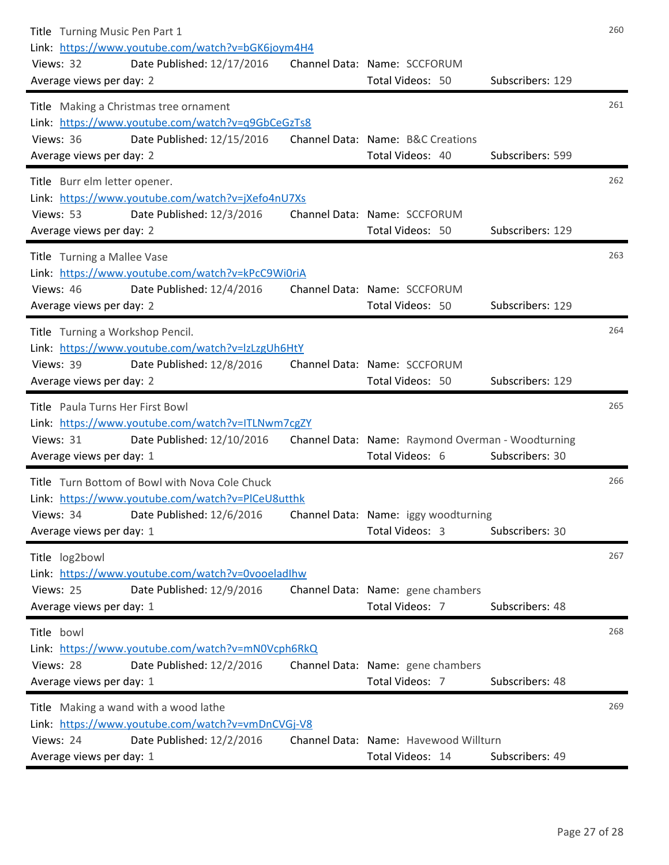| Title Turning Music Pen Part 1<br>Link: https://www.youtube.com/watch?v=bGK6joym4H4<br>Views: 32<br>Date Published: 12/17/2016<br>Average views per day: 2                | Channel Data: Name: SCCFORUM<br>Total Videos: 50                     | Subscribers: 129 | 260 |
|---------------------------------------------------------------------------------------------------------------------------------------------------------------------------|----------------------------------------------------------------------|------------------|-----|
| Title Making a Christmas tree ornament<br>Link: https://www.youtube.com/watch?v=q9GbCeGzTs8<br>Date Published: 12/15/2016<br>Views: 36<br>Average views per day: 2        | Channel Data: Name: B&C Creations<br>Total Videos: 40                | Subscribers: 599 | 261 |
| Title Burr elm letter opener.<br>Link: https://www.youtube.com/watch?v=jXefo4nU7Xs<br>Views: 53<br>Date Published: 12/3/2016<br>Average views per day: 2                  | Channel Data: Name: SCCFORUM<br>Total Videos: 50                     | Subscribers: 129 | 262 |
| Title Turning a Mallee Vase<br>Link: https://www.youtube.com/watch?v=kPcC9Wi0riA<br>Views: 46<br>Date Published: 12/4/2016<br>Average views per day: 2                    | Channel Data: Name: SCCFORUM<br>Total Videos: 50                     | Subscribers: 129 | 263 |
| Title Turning a Workshop Pencil.<br>Link: https://www.youtube.com/watch?v=IzLzgUh6HtY<br>Views: 39<br>Date Published: 12/8/2016<br>Average views per day: 2               | Channel Data: Name: SCCFORUM<br>Total Videos: 50                     | Subscribers: 129 | 264 |
| Title Paula Turns Her First Bowl<br>Link: https://www.youtube.com/watch?v=ITLNwm7cgZY<br>Views: 31<br>Date Published: 12/10/2016<br>Average views per day: 1              | Channel Data: Name: Raymond Overman - Woodturning<br>Total Videos: 6 | Subscribers: 30  | 265 |
| Title Turn Bottom of Bowl with Nova Cole Chuck<br>Link: https://www.youtube.com/watch?v=PICeU8utthk<br>Date Published: 12/6/2016<br>Views: 34<br>Average views per day: 1 | Channel Data: Name: iggy woodturning<br>Total Videos: 3              | Subscribers: 30  | 266 |
| Title log2bowl<br>Link: https://www.youtube.com/watch?v=0vooeladlhw<br>Views: 25<br>Date Published: 12/9/2016<br>Average views per day: 1                                 | Channel Data: Name: gene chambers<br>Total Videos: 7                 | Subscribers: 48  | 267 |
| Title bowl<br>Link: https://www.youtube.com/watch?v=mN0Vcph6RkQ<br>Views: 28<br>Date Published: 12/2/2016<br>Average views per day: 1                                     | Channel Data: Name: gene chambers<br>Total Videos: 7                 | Subscribers: 48  | 268 |
| Title Making a wand with a wood lathe<br>Link: https://www.youtube.com/watch?v=vmDnCVGj-V8<br>Views: 24<br>Date Published: 12/2/2016<br>Average views per day: 1          | Channel Data: Name: Havewood Willturn<br>Total Videos: 14            | Subscribers: 49  | 269 |